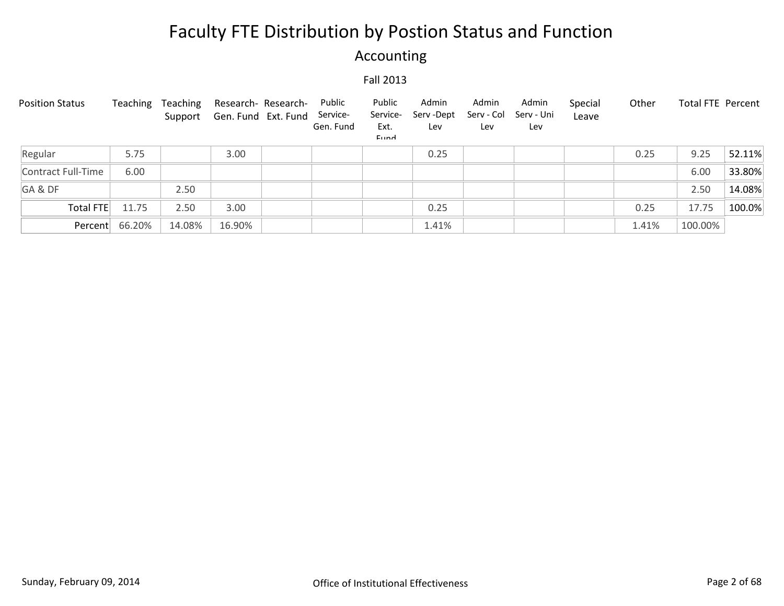## Accounting

| <b>Position Status</b> | Teaching | Teaching | Research- Research-<br>Support Gen. Fund Ext. Fund | Public<br>Service-<br>Gen. Fund | Public<br>Service-<br>Ext.<br>Eund | Admin<br>Serv -Dept<br>Lev | Admin<br>Serv - Col<br>Lev | Admin<br>Serv - Uni<br>Lev | Special<br>Leave | Other | Total FTE Percent |        |
|------------------------|----------|----------|----------------------------------------------------|---------------------------------|------------------------------------|----------------------------|----------------------------|----------------------------|------------------|-------|-------------------|--------|
| Regular                | 5.75     |          | 3.00                                               |                                 |                                    | 0.25                       |                            |                            |                  | 0.25  | 9.25              | 52.11% |
| Contract Full-Time     | 6.00     |          |                                                    |                                 |                                    |                            |                            |                            |                  |       | 6.00              | 33.80% |
| GA&DF                  |          | 2.50     |                                                    |                                 |                                    |                            |                            |                            |                  |       | 2.50              | 14.08% |
| Total FTE              | 11.75    | 2.50     | 3.00                                               |                                 |                                    | 0.25                       |                            |                            |                  | 0.25  | 17.75             | 100.0% |
| Percent                | 66.20%   | 14.08%   | 16.90%                                             |                                 |                                    | 1.41%                      |                            |                            |                  | 1.41% | 100.00%           |        |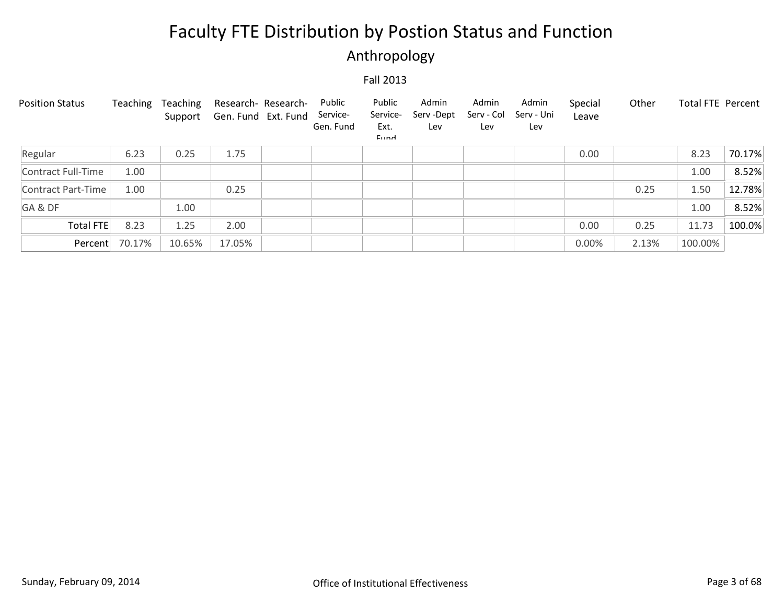## Anthropology

| <b>Position Status</b> | Teaching | Teaching<br>Support | Research- Research-<br>Gen. Fund Ext. Fund | Public<br>Service-<br>Gen. Fund | Public<br>Service-<br>Ext.<br>Eund | Admin<br>Serv-Dept<br>Lev | Admin<br>Serv - Col<br>Lev | Admin<br>Serv - Uni<br>Lev | Special<br>Leave | Other | Total FTE Percent |        |
|------------------------|----------|---------------------|--------------------------------------------|---------------------------------|------------------------------------|---------------------------|----------------------------|----------------------------|------------------|-------|-------------------|--------|
| Regular                | 6.23     | 0.25                | 1.75                                       |                                 |                                    |                           |                            |                            | 0.00             |       | 8.23              | 70.17% |
| Contract Full-Time     | 1.00     |                     |                                            |                                 |                                    |                           |                            |                            |                  |       | 1.00              | 8.52%  |
| Contract Part-Time     | 1.00     |                     | 0.25                                       |                                 |                                    |                           |                            |                            |                  | 0.25  | 1.50              | 12.78% |
| GA&DF                  |          | 1.00                |                                            |                                 |                                    |                           |                            |                            |                  |       | 1.00              | 8.52%  |
| <b>Total FTE</b>       | 8.23     | 1.25                | 2.00                                       |                                 |                                    |                           |                            |                            | 0.00             | 0.25  | 11.73             | 100.0% |
| Percent                | 70.17%   | 10.65%              | 17.05%                                     |                                 |                                    |                           |                            |                            | 0.00%            | 2.13% | 100.00%           |        |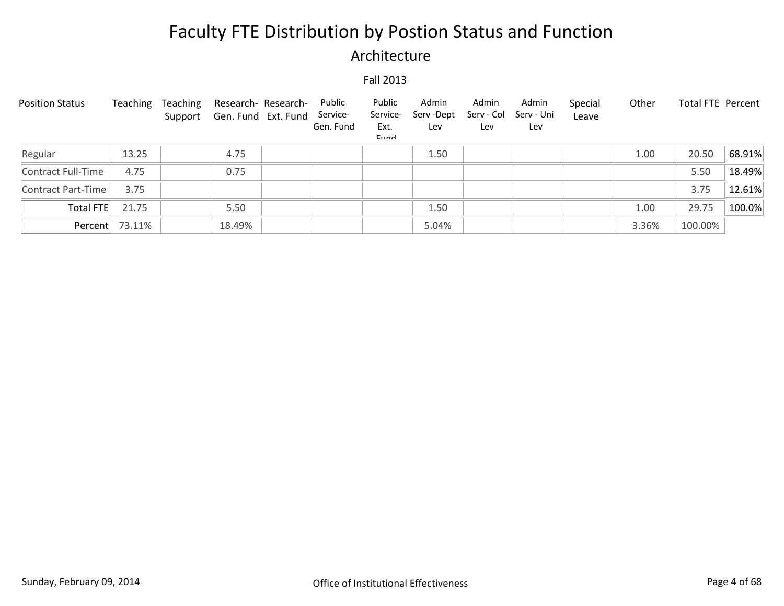### Architecture

| <b>Position Status</b> | Teaching       | Teaching | Research- Research-<br>Support Gen. Fund Ext. Fund | Public<br>Service-<br>Gen. Fund | Public<br>Service-<br>Ext.<br>Eund | Admin<br>Serv-Dept<br>Lev | Admin<br>Serv - Col<br>Lev | Admin<br>Serv - Uni<br>Lev | Special<br>Leave | Other | <b>Total FTE Percent</b> |        |
|------------------------|----------------|----------|----------------------------------------------------|---------------------------------|------------------------------------|---------------------------|----------------------------|----------------------------|------------------|-------|--------------------------|--------|
| Regular                | 13.25          |          | 4.75                                               |                                 |                                    | 1.50                      |                            |                            |                  | 1.00  | 20.50                    | 68.91% |
| Contract Full-Time     | 4.75           |          | 0.75                                               |                                 |                                    |                           |                            |                            |                  |       | 5.50                     | 18.49% |
| Contract Part-Time     | 3.75           |          |                                                    |                                 |                                    |                           |                            |                            |                  |       | 3.75                     | 12.61% |
| Total FTE              | 21.75          |          | 5.50                                               |                                 |                                    | 1.50                      |                            |                            |                  | 1.00  | 29.75                    | 100.0% |
|                        | Percent 73.11% |          | 18.49%                                             |                                 |                                    | 5.04%                     |                            |                            |                  | 3.36% | 100.00%                  |        |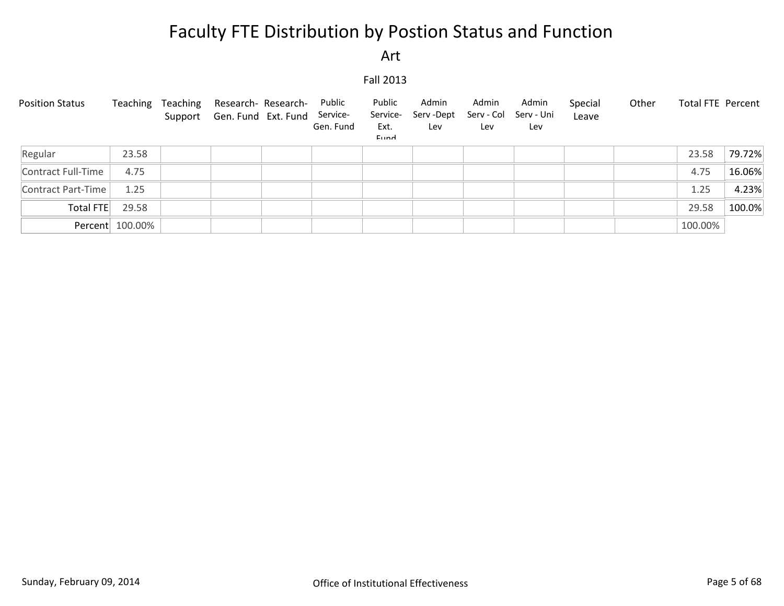Art

| <b>Position Status</b> |                 | Teaching Teaching | Research- Research- Public<br>Support Gen. Fund Ext. Fund Service- | Gen. Fund | Public<br>Service-<br>Ext.<br>Eund | Admin<br>Serv -Dept<br>Lev | Admin<br>Serv - Col<br>Lev | Admin<br>Serv - Uni<br>Lev | Special<br>Leave | Other | Total FTE Percent |        |
|------------------------|-----------------|-------------------|--------------------------------------------------------------------|-----------|------------------------------------|----------------------------|----------------------------|----------------------------|------------------|-------|-------------------|--------|
| Regular                | 23.58           |                   |                                                                    |           |                                    |                            |                            |                            |                  |       | 23.58             | 79.72% |
| Contract Full-Time     | 4.75            |                   |                                                                    |           |                                    |                            |                            |                            |                  |       | 4.75              | 16.06% |
| Contract Part-Time     | 1.25            |                   |                                                                    |           |                                    |                            |                            |                            |                  |       | 1.25              | 4.23%  |
| Total FTE              | 29.58           |                   |                                                                    |           |                                    |                            |                            |                            |                  |       | 29.58             | 100.0% |
|                        | Percent 100.00% |                   |                                                                    |           |                                    |                            |                            |                            |                  |       | 100.00%           |        |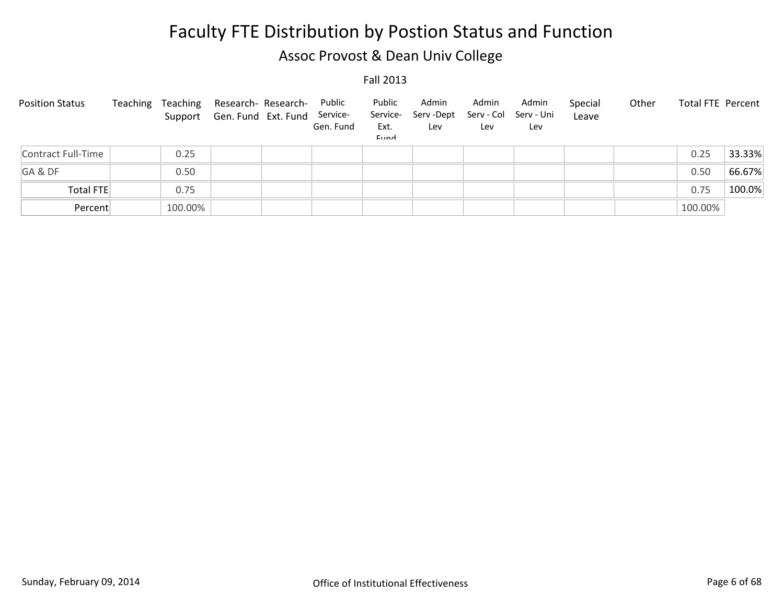## Assoc Provost & Dean Univ College

| <b>Position Status</b> | Teaching | Teaching | Research- Research-<br>Support Gen. Fund Ext. Fund Service- | Public<br>Gen. Fund | Public<br>Service-<br>Ext.<br>Eund | Admin<br>Serv -Dept<br>Lev | Admin<br>Serv - Col<br>Lev | Admin<br>Serv - Uni<br>Lev | Special<br>Leave | Other | Total FTE Percent |        |
|------------------------|----------|----------|-------------------------------------------------------------|---------------------|------------------------------------|----------------------------|----------------------------|----------------------------|------------------|-------|-------------------|--------|
| Contract Full-Time     |          | 0.25     |                                                             |                     |                                    |                            |                            |                            |                  |       | 0.25              | 33.33% |
| GA&DF                  |          | 0.50     |                                                             |                     |                                    |                            |                            |                            |                  |       | 0.50              | 66.67% |
| <b>Total FTE</b>       |          | 0.75     |                                                             |                     |                                    |                            |                            |                            |                  |       | 0.75              | 100.0% |
| Percent                |          | 100.00%  |                                                             |                     |                                    |                            |                            |                            |                  |       | 100.00%           |        |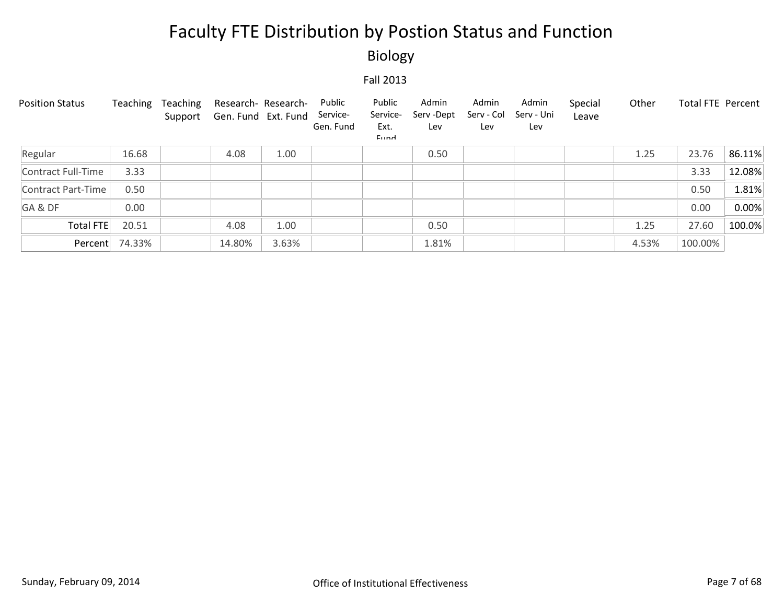Biology

| <b>Position Status</b> | Teaching | Teaching<br>Support | Research- Research-<br>Gen. Fund Ext. Fund |       | Public<br>Service-<br>Gen. Fund | Public<br>Service-<br>Ext.<br>Eund | Admin<br>Serv-Dept<br>Lev | Admin<br>Serv - Col<br>Lev | Admin<br>Serv - Uni<br>Lev | Special<br>Leave | Other | Total FTE Percent |        |
|------------------------|----------|---------------------|--------------------------------------------|-------|---------------------------------|------------------------------------|---------------------------|----------------------------|----------------------------|------------------|-------|-------------------|--------|
| Regular                | 16.68    |                     | 4.08                                       | 1.00  |                                 |                                    | 0.50                      |                            |                            |                  | 1.25  | 23.76             | 86.11% |
| Contract Full-Time     | 3.33     |                     |                                            |       |                                 |                                    |                           |                            |                            |                  |       | 3.33              | 12.08% |
| Contract Part-Time     | 0.50     |                     |                                            |       |                                 |                                    |                           |                            |                            |                  |       | 0.50              | 1.81%  |
| GA&DF                  | 0.00     |                     |                                            |       |                                 |                                    |                           |                            |                            |                  |       | 0.00              | 0.00%  |
| <b>Total FTE</b>       | 20.51    |                     | 4.08                                       | 1.00  |                                 |                                    | 0.50                      |                            |                            |                  | 1.25  | 27.60             | 100.0% |
| Percent                | 74.33%   |                     | 14.80%                                     | 3.63% |                                 |                                    | 1.81%                     |                            |                            |                  | 4.53% | 100.00%           |        |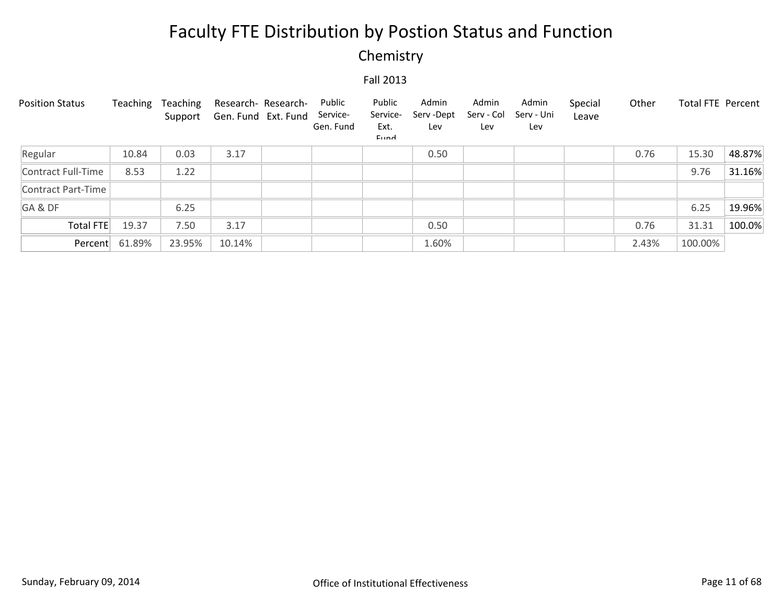## Chemistry

| <b>Position Status</b> | Teaching | Teaching<br>Support | Research- Research-<br>Gen. Fund Ext. Fund | Public<br>Service-<br>Gen. Fund | Public<br>Service-<br>Ext.<br>Eund | Admin<br>Serv - Dept<br>Lev | Admin<br>Serv - Col<br>Lev | Admin<br>Serv - Uni<br>Lev | Special<br>Leave | Other | Total FTE Percent |        |
|------------------------|----------|---------------------|--------------------------------------------|---------------------------------|------------------------------------|-----------------------------|----------------------------|----------------------------|------------------|-------|-------------------|--------|
| Regular                | 10.84    | 0.03                | 3.17                                       |                                 |                                    | 0.50                        |                            |                            |                  | 0.76  | 15.30             | 48.87% |
| Contract Full-Time     | 8.53     | 1.22                |                                            |                                 |                                    |                             |                            |                            |                  |       | 9.76              | 31.16% |
| Contract Part-Time     |          |                     |                                            |                                 |                                    |                             |                            |                            |                  |       |                   |        |
| GA&DF                  |          | 6.25                |                                            |                                 |                                    |                             |                            |                            |                  |       | 6.25              | 19.96% |
| <b>Total FTE</b>       | 19.37    | 7.50                | 3.17                                       |                                 |                                    | 0.50                        |                            |                            |                  | 0.76  | 31.31             | 100.0% |
| Percent                | 61.89%   | 23.95%              | 10.14%                                     |                                 |                                    | 1.60%                       |                            |                            |                  | 2.43% | 100.00%           |        |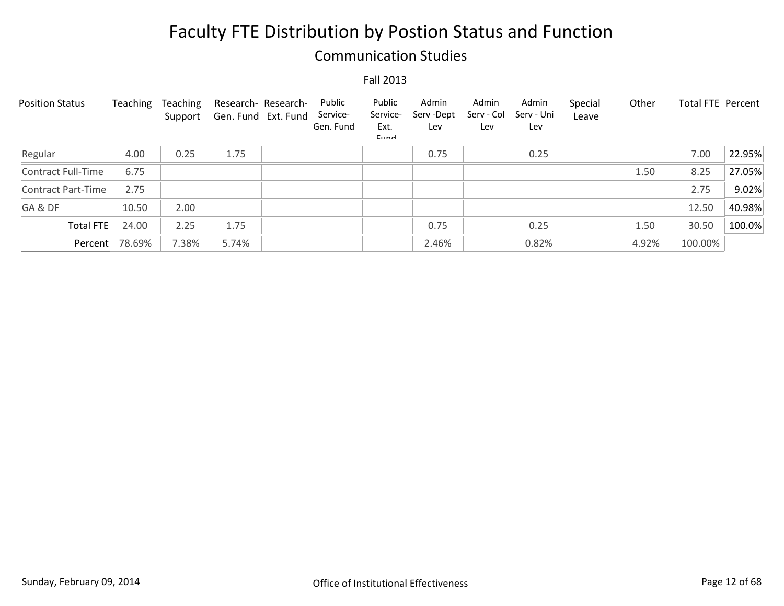### Communication Studies

| <b>Position Status</b> | Teaching | Teaching<br>Support | Research- Research-<br>Gen. Fund Ext. Fund | Public<br>Service-<br>Gen. Fund | Public<br>Service-<br>Ext.<br>Eund | Admin<br>Serv-Dept<br>Lev | Admin<br>Serv - Col<br>Lev | Admin<br>Serv - Uni<br>Lev | Special<br>Leave | Other | <b>Total FTE Percent</b> |        |
|------------------------|----------|---------------------|--------------------------------------------|---------------------------------|------------------------------------|---------------------------|----------------------------|----------------------------|------------------|-------|--------------------------|--------|
| Regular                | 4.00     | 0.25                | 1.75                                       |                                 |                                    | 0.75                      |                            | 0.25                       |                  |       | 7.00                     | 22.95% |
| Contract Full-Time     | 6.75     |                     |                                            |                                 |                                    |                           |                            |                            |                  | 1.50  | 8.25                     | 27.05% |
| Contract Part-Time     | 2.75     |                     |                                            |                                 |                                    |                           |                            |                            |                  |       | 2.75                     | 9.02%  |
| GA&DF                  | 10.50    | 2.00                |                                            |                                 |                                    |                           |                            |                            |                  |       | 12.50                    | 40.98% |
| <b>Total FTE</b>       | 24.00    | 2.25                | 1.75                                       |                                 |                                    | 0.75                      |                            | 0.25                       |                  | 1.50  | 30.50                    | 100.0% |
| Percent                | 78.69%   | 7.38%               | 5.74%                                      |                                 |                                    | 2.46%                     |                            | 0.82%                      |                  | 4.92% | 100.00%                  |        |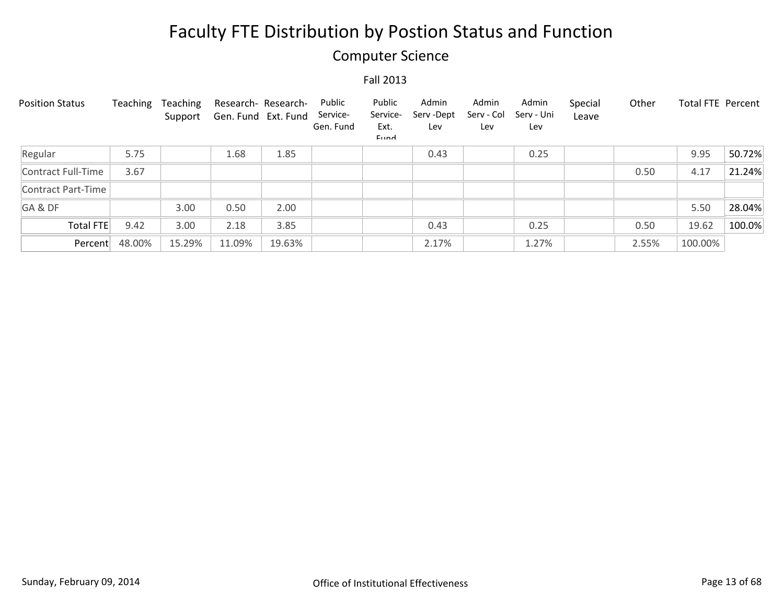### Computer Science

| <b>Position Status</b> | Teaching | Teaching<br>Support | Research- Research-<br>Gen. Fund Ext. Fund |        | Public<br>Service-<br>Gen. Fund | Public<br>Service-<br>Ext.<br>Eund | Admin<br>Serv-Dept<br>Lev | Admin<br>Serv - Col<br>Lev | Admin<br>Serv - Uni<br>Lev | Special<br>Leave | Other | <b>Total FTE Percent</b> |        |
|------------------------|----------|---------------------|--------------------------------------------|--------|---------------------------------|------------------------------------|---------------------------|----------------------------|----------------------------|------------------|-------|--------------------------|--------|
| Regular                | 5.75     |                     | 1.68                                       | 1.85   |                                 |                                    | 0.43                      |                            | 0.25                       |                  |       | 9.95                     | 50.72% |
| Contract Full-Time     | 3.67     |                     |                                            |        |                                 |                                    |                           |                            |                            |                  | 0.50  | 4.17                     | 21.24% |
| Contract Part-Time     |          |                     |                                            |        |                                 |                                    |                           |                            |                            |                  |       |                          |        |
| GA&DF                  |          | 3.00                | 0.50                                       | 2.00   |                                 |                                    |                           |                            |                            |                  |       | 5.50                     | 28.04% |
| Total FTE              | 9.42     | 3.00                | 2.18                                       | 3.85   |                                 |                                    | 0.43                      |                            | 0.25                       |                  | 0.50  | 19.62                    | 100.0% |
| Percent                | 48.00%   | 15.29%              | 11.09%                                     | 19.63% |                                 |                                    | 2.17%                     |                            | 1.27%                      |                  | 2.55% | 100.00%                  |        |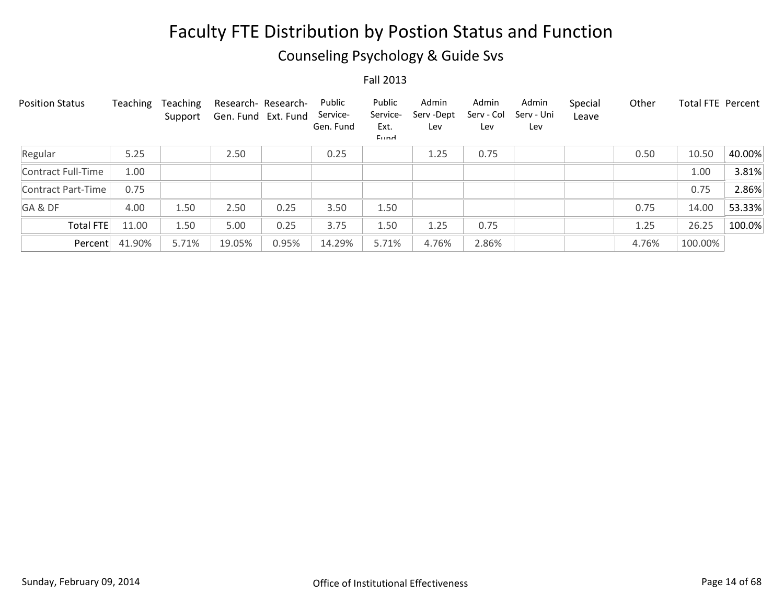## Counseling Psychology & Guide Svs

| <b>Position Status</b> | Teaching | Teaching<br>Support | Research- Research-<br>Gen. Fund Ext. Fund |       | Public<br>Service-<br>Gen. Fund | Public<br>Service-<br>Ext.<br>Eund | Admin<br>Serv-Dept<br>Lev | Admin<br>Serv - Col<br>Lev | Admin<br>Serv - Uni<br>Lev | Special<br>Leave | Other | Total FTE Percent |        |
|------------------------|----------|---------------------|--------------------------------------------|-------|---------------------------------|------------------------------------|---------------------------|----------------------------|----------------------------|------------------|-------|-------------------|--------|
| Regular                | 5.25     |                     | 2.50                                       |       | 0.25                            |                                    | 1.25                      | 0.75                       |                            |                  | 0.50  | 10.50             | 40.00% |
| Contract Full-Time     | 1.00     |                     |                                            |       |                                 |                                    |                           |                            |                            |                  |       | 1.00              | 3.81%  |
| Contract Part-Time     | 0.75     |                     |                                            |       |                                 |                                    |                           |                            |                            |                  |       | 0.75              | 2.86%  |
| GA&DF                  | 4.00     | 1.50                | 2.50                                       | 0.25  | 3.50                            | 1.50                               |                           |                            |                            |                  | 0.75  | 14.00             | 53.33% |
| <b>Total FTE</b>       | 11.00    | 1.50                | 5.00                                       | 0.25  | 3.75                            | 1.50                               | 1.25                      | 0.75                       |                            |                  | 1.25  | 26.25             | 100.0% |
| Percent                | 41.90%   | 5.71%               | 19.05%                                     | 0.95% | 14.29%                          | 5.71%                              | 4.76%                     | 2.86%                      |                            |                  | 4.76% | 100.00%           |        |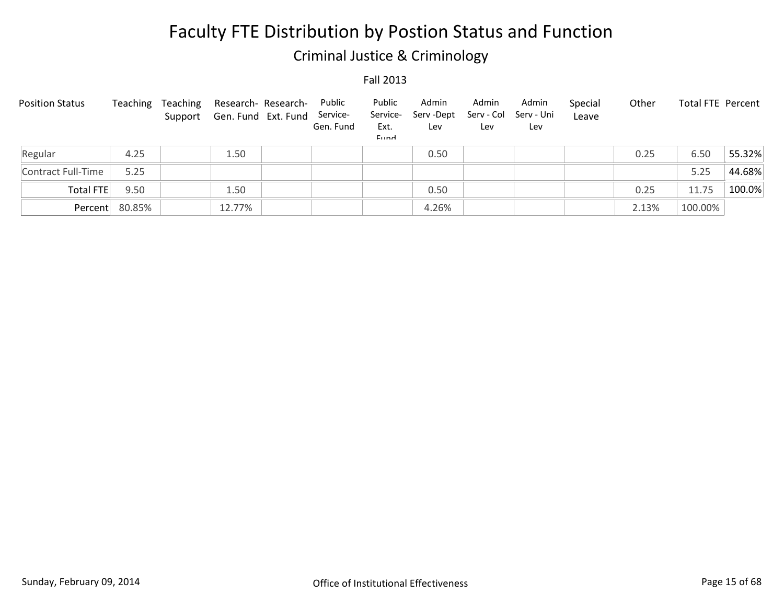## Criminal Justice & Criminology

| <b>Position Status</b> | Teaching       | Teaching | Research- Research-<br>Support Gen. Fund Ext. Fund | Public<br>Service-<br>Gen. Fund | Public<br>Service-<br>Ext.<br><b>Eund</b> | Admin<br>Serv-Dept<br>Lev | Admin<br>Serv - Col<br>Lev | Admin<br>Serv - Uni<br>Lev | Special<br>Leave | Other | <b>Total FTE Percent</b> |        |
|------------------------|----------------|----------|----------------------------------------------------|---------------------------------|-------------------------------------------|---------------------------|----------------------------|----------------------------|------------------|-------|--------------------------|--------|
| Regular                | 4.25           |          | 1.50                                               |                                 |                                           | 0.50                      |                            |                            |                  | 0.25  | 6.50                     | 55.32% |
| Contract Full-Time     | 5.25           |          |                                                    |                                 |                                           |                           |                            |                            |                  |       | 5.25                     | 44.68% |
| Total FTE              | 9.50           |          | 1.50                                               |                                 |                                           | 0.50                      |                            |                            |                  | 0.25  | 11.75                    | 100.0% |
|                        | Percent 80.85% |          | 12.77%                                             |                                 |                                           | 4.26%                     |                            |                            |                  | 2.13% | 100.00%                  |        |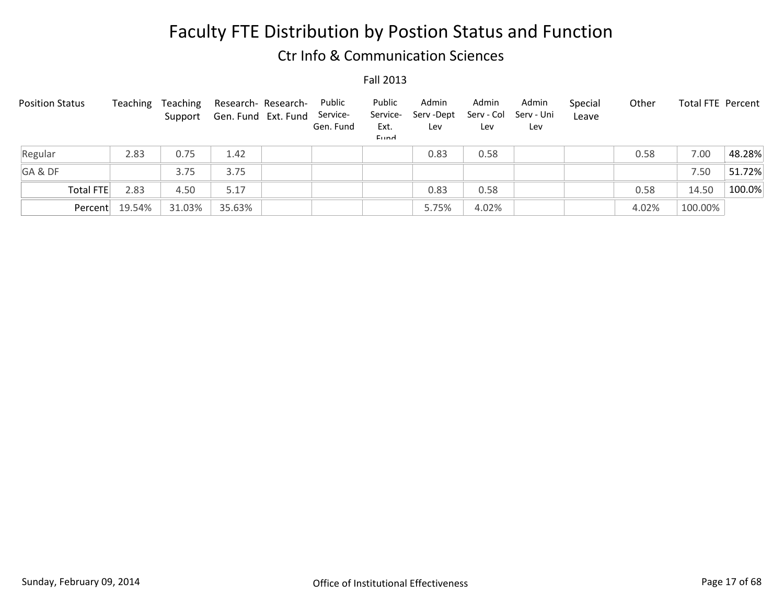### Ctr Info & Communication Sciences

| <b>Position Status</b> | Teaching | Teaching<br>Support | Research- Research-<br>Gen. Fund Ext. Fund | Public<br>Service-<br>Gen. Fund | Public<br>Service-<br>Ext.<br>Eund | Admin<br>Serv -Dept<br>Lev | Admin<br>Serv - Col<br>Lev | Admin<br>Serv - Uni<br>Lev | Special<br>Leave | Other | <b>Total FTE Percent</b> |        |
|------------------------|----------|---------------------|--------------------------------------------|---------------------------------|------------------------------------|----------------------------|----------------------------|----------------------------|------------------|-------|--------------------------|--------|
| Regular                | 2.83     | 0.75                | 1.42                                       |                                 |                                    | 0.83                       | 0.58                       |                            |                  | 0.58  | 7.00                     | 48.28% |
| GA&DF                  |          | 3.75                | 3.75                                       |                                 |                                    |                            |                            |                            |                  |       | 7.50                     | 51.72% |
| Total FTE              | 2.83     | 4.50                | 5.17                                       |                                 |                                    | 0.83                       | 0.58                       |                            |                  | 0.58  | 14.50                    | 100.0% |
| Percent                | 19.54%   | 31.03%              | 35.63%                                     |                                 |                                    | 5.75%                      | 4.02%                      |                            |                  | 4.02% | 100.00%                  |        |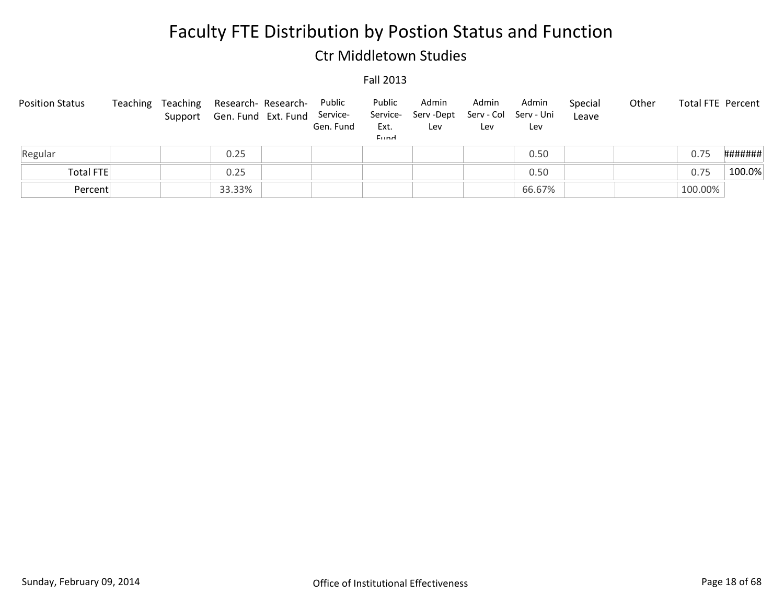### Ctr Middletown Studies

| <b>Position Status</b> |  | Teaching Teaching Research- Research- Public<br>Support Gen. Fund Ext. Fund | Service-<br>Gen. Fund | Public<br>Service-<br>Ext.<br>Eund | Admin<br>Serv -Dept<br>Lev | Admin<br>Serv - Col Serv - Uni<br>Lev | Admin<br>Lev | Special<br>Leave | Other | Total FTE Percent |         |
|------------------------|--|-----------------------------------------------------------------------------|-----------------------|------------------------------------|----------------------------|---------------------------------------|--------------|------------------|-------|-------------------|---------|
| Regular                |  | 0.25                                                                        |                       |                                    |                            |                                       | 0.50         |                  |       | 0.75              | ####### |
| Total FTE              |  | 0.25                                                                        |                       |                                    |                            |                                       | 0.50         |                  |       | 0.75              | 100.0%  |
| Percent                |  | 33.33%                                                                      |                       |                                    |                            |                                       | 66.67%       |                  |       | 100.00%           |         |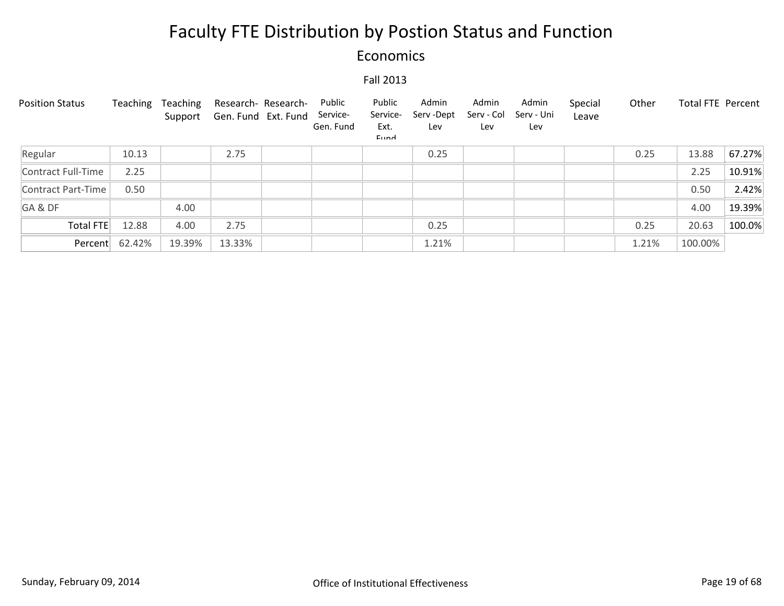### Economics

| <b>Position Status</b> | Teaching | Teaching<br>Support | Research- Research-<br>Gen. Fund Ext. Fund | Public<br>Service-<br>Gen. Fund | Public<br>Service-<br>Ext.<br>Eund | Admin<br>Serv-Dept<br>Lev | Admin<br>Serv - Col<br>Lev | Admin<br>Serv - Uni<br>Lev | Special<br>Leave | Other | <b>Total FTE Percent</b> |        |
|------------------------|----------|---------------------|--------------------------------------------|---------------------------------|------------------------------------|---------------------------|----------------------------|----------------------------|------------------|-------|--------------------------|--------|
| Regular                | 10.13    |                     | 2.75                                       |                                 |                                    | 0.25                      |                            |                            |                  | 0.25  | 13.88                    | 67.27% |
| Contract Full-Time     | 2.25     |                     |                                            |                                 |                                    |                           |                            |                            |                  |       | 2.25                     | 10.91% |
| Contract Part-Time     | 0.50     |                     |                                            |                                 |                                    |                           |                            |                            |                  |       | 0.50                     | 2.42%  |
| GA&DF                  |          | 4.00                |                                            |                                 |                                    |                           |                            |                            |                  |       | 4.00                     | 19.39% |
| Total FTE              | 12.88    | 4.00                | 2.75                                       |                                 |                                    | 0.25                      |                            |                            |                  | 0.25  | 20.63                    | 100.0% |
| Percent                | 62.42%   | 19.39%              | 13.33%                                     |                                 |                                    | 1.21%                     |                            |                            |                  | 1.21% | 100.00%                  |        |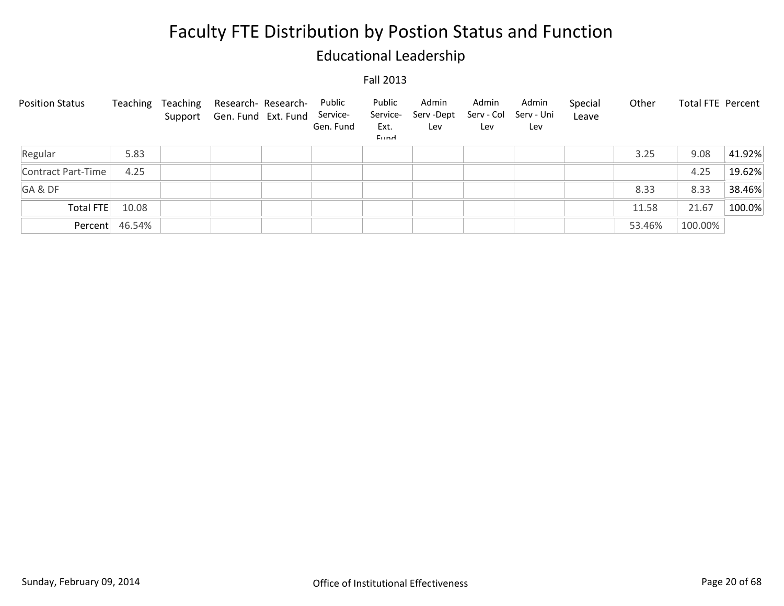## Educational Leadership

| <b>Position Status</b> | Teaching       | Teaching | Research- Research-<br>Support Gen. Fund Ext. Fund Service- | Public<br>Gen. Fund | Public<br>Service-<br>Ext.<br>Eund | Admin<br>Serv -Dept<br>Lev | Admin<br>Serv - Col<br>Lev | Admin<br>Serv - Uni<br>Lev | Special<br>Leave | Other  | Total FTE Percent |        |
|------------------------|----------------|----------|-------------------------------------------------------------|---------------------|------------------------------------|----------------------------|----------------------------|----------------------------|------------------|--------|-------------------|--------|
| Regular                | 5.83           |          |                                                             |                     |                                    |                            |                            |                            |                  | 3.25   | 9.08              | 41.92% |
| Contract Part-Time     | 4.25           |          |                                                             |                     |                                    |                            |                            |                            |                  |        | 4.25              | 19.62% |
| GA&DF                  |                |          |                                                             |                     |                                    |                            |                            |                            |                  | 8.33   | 8.33              | 38.46% |
| Total FTE              | 10.08          |          |                                                             |                     |                                    |                            |                            |                            |                  | 11.58  | 21.67             | 100.0% |
|                        | Percent 46.54% |          |                                                             |                     |                                    |                            |                            |                            |                  | 53.46% | 100.00%           |        |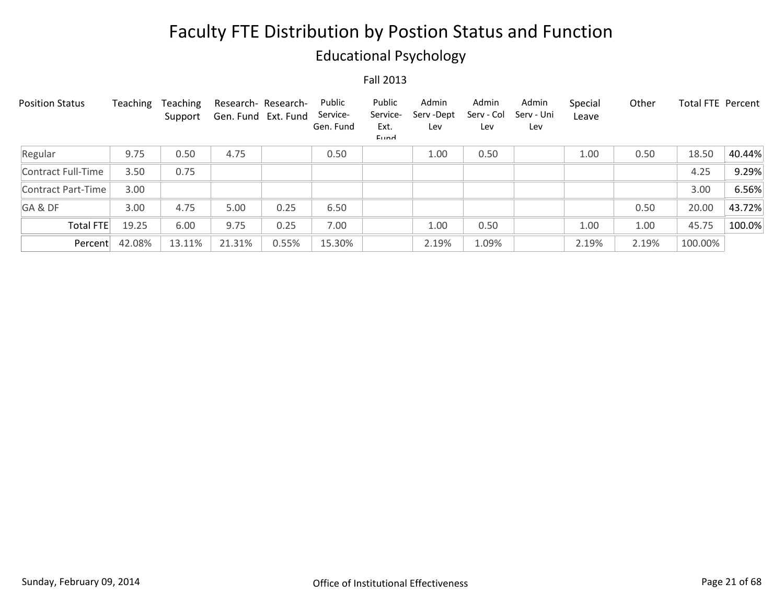## Educational Psychology

| <b>Position Status</b> | Teaching | Teaching<br>Support | Research-Research-<br>Gen. Fund Ext. Fund |       | Public<br>Service-<br>Gen. Fund | Public<br>Service-<br>Ext.<br>Eund | Admin<br>Serv-Dept<br>Lev | Admin<br>Serv - Col<br>Lev | Admin<br>Serv - Uni<br>Lev | Special<br>Leave | Other | Total FTE Percent |        |
|------------------------|----------|---------------------|-------------------------------------------|-------|---------------------------------|------------------------------------|---------------------------|----------------------------|----------------------------|------------------|-------|-------------------|--------|
| Regular                | 9.75     | 0.50                | 4.75                                      |       | 0.50                            |                                    | 1.00                      | 0.50                       |                            | 1.00             | 0.50  | 18.50             | 40.44% |
| Contract Full-Time     | 3.50     | 0.75                |                                           |       |                                 |                                    |                           |                            |                            |                  |       | 4.25              | 9.29%  |
| Contract Part-Time     | 3.00     |                     |                                           |       |                                 |                                    |                           |                            |                            |                  |       | 3.00              | 6.56%  |
| GA&DF                  | 3.00     | 4.75                | 5.00                                      | 0.25  | 6.50                            |                                    |                           |                            |                            |                  | 0.50  | 20.00             | 43.72% |
| Total FTE              | 19.25    | 6.00                | 9.75                                      | 0.25  | 7.00                            |                                    | 1.00                      | 0.50                       |                            | 1.00             | 1.00  | 45.75             | 100.0% |
| Percent                | 42.08%   | 13.11%              | 21.31%                                    | 0.55% | 15.30%                          |                                    | 2.19%                     | 1.09%                      |                            | 2.19%            | 2.19% | 100.00%           |        |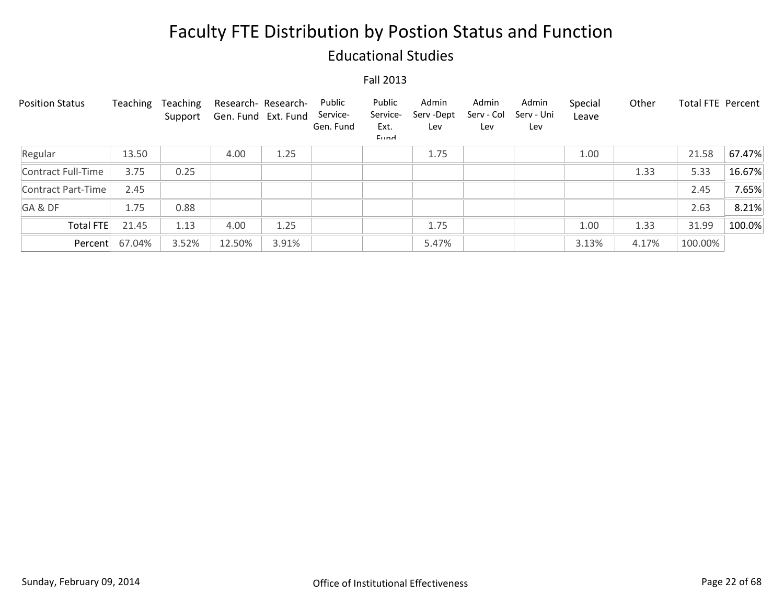### Educational Studies

| <b>Position Status</b> | Teaching | Teaching<br>Support | Research- Research-<br>Gen. Fund Ext. Fund |       | Public<br>Service-<br>Gen. Fund | Public<br>Service-<br>Ext.<br>Eund | Admin<br>Serv-Dept<br>Lev | Admin<br>Serv - Col<br>Lev | Admin<br>Serv - Uni<br>Lev | Special<br>Leave | Other | <b>Total FTE Percent</b> |        |
|------------------------|----------|---------------------|--------------------------------------------|-------|---------------------------------|------------------------------------|---------------------------|----------------------------|----------------------------|------------------|-------|--------------------------|--------|
| Regular                | 13.50    |                     | 4.00                                       | 1.25  |                                 |                                    | 1.75                      |                            |                            | 1.00             |       | 21.58                    | 67.47% |
| Contract Full-Time     | 3.75     | 0.25                |                                            |       |                                 |                                    |                           |                            |                            |                  | 1.33  | 5.33                     | 16.67% |
| Contract Part-Time     | 2.45     |                     |                                            |       |                                 |                                    |                           |                            |                            |                  |       | 2.45                     | 7.65%  |
| GA&DF                  | 1.75     | 0.88                |                                            |       |                                 |                                    |                           |                            |                            |                  |       | 2.63                     | 8.21%  |
| <b>Total FTE</b>       | 21.45    | 1.13                | 4.00                                       | 1.25  |                                 |                                    | 1.75                      |                            |                            | 1.00             | 1.33  | 31.99                    | 100.0% |
| Percent                | 67.04%   | 3.52%               | 12.50%                                     | 3.91% |                                 |                                    | 5.47%                     |                            |                            | 3.13%            | 4.17% | 100.00%                  |        |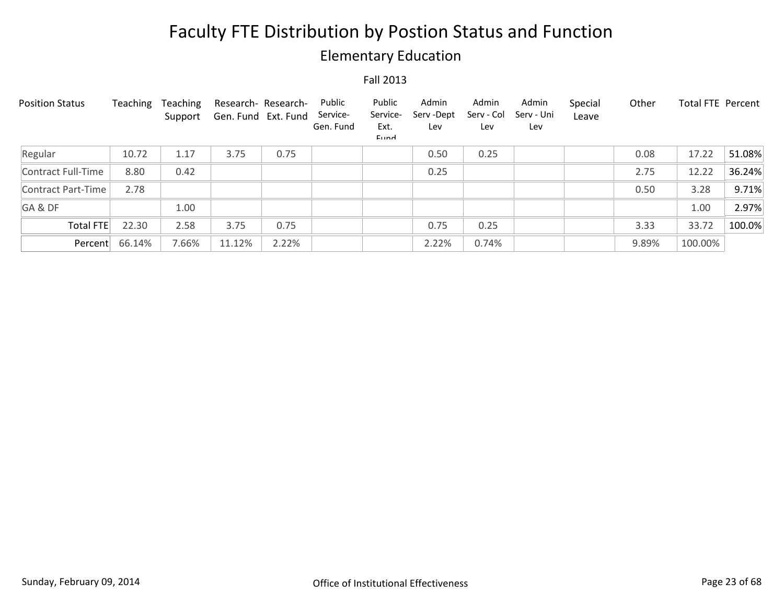## Elementary Education

| <b>Position Status</b> | Teaching | Teaching<br>Support | Research- Research-<br>Gen. Fund Ext. Fund |       | Public<br>Service-<br>Gen. Fund | Public<br>Service-<br>Ext.<br><b>Fund</b> | Admin<br>Serv-Dept<br>Lev | Admin<br>Serv - Col<br>Lev | Admin<br>Serv - Uni<br>Lev | Special<br>Leave | Other | Total FTE Percent |        |
|------------------------|----------|---------------------|--------------------------------------------|-------|---------------------------------|-------------------------------------------|---------------------------|----------------------------|----------------------------|------------------|-------|-------------------|--------|
| Regular                | 10.72    | 1.17                | 3.75                                       | 0.75  |                                 |                                           | 0.50                      | 0.25                       |                            |                  | 0.08  | 17.22             | 51.08% |
| Contract Full-Time     | 8.80     | 0.42                |                                            |       |                                 |                                           | 0.25                      |                            |                            |                  | 2.75  | 12.22             | 36.24% |
| Contract Part-Time     | 2.78     |                     |                                            |       |                                 |                                           |                           |                            |                            |                  | 0.50  | 3.28              | 9.71%  |
| GA&DF                  |          | 1.00                |                                            |       |                                 |                                           |                           |                            |                            |                  |       | 1.00              | 2.97%  |
| <b>Total FTE</b>       | 22.30    | 2.58                | 3.75                                       | 0.75  |                                 |                                           | 0.75                      | 0.25                       |                            |                  | 3.33  | 33.72             | 100.0% |
| Percent                | 66.14%   | 7.66%               | 11.12%                                     | 2.22% |                                 |                                           | 2.22%                     | 0.74%                      |                            |                  | 9.89% | 100.00%           |        |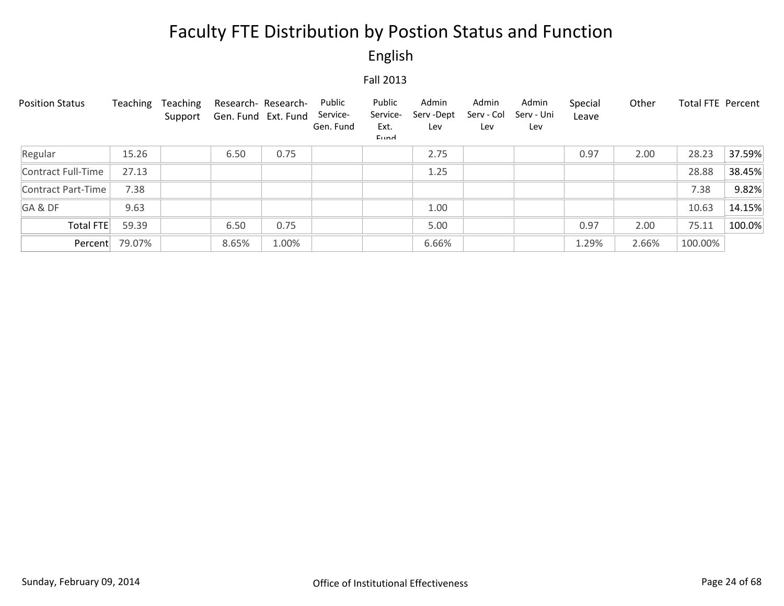English

| <b>Position Status</b> | Teaching | Teaching<br>Support | Research-Research-<br>Gen. Fund Ext. Fund |       | Public<br>Service-<br>Gen. Fund | Public<br>Service-<br>Ext.<br>Eund | Admin<br>Serv-Dept<br>Lev | Admin<br>Serv - Col<br>Lev | Admin<br>Serv - Uni<br>Lev | Special<br>Leave | Other | Total FTE Percent |        |
|------------------------|----------|---------------------|-------------------------------------------|-------|---------------------------------|------------------------------------|---------------------------|----------------------------|----------------------------|------------------|-------|-------------------|--------|
| Regular                | 15.26    |                     | 6.50                                      | 0.75  |                                 |                                    | 2.75                      |                            |                            | 0.97             | 2.00  | 28.23             | 37.59% |
| Contract Full-Time     | 27.13    |                     |                                           |       |                                 |                                    | 1.25                      |                            |                            |                  |       | 28.88             | 38.45% |
| Contract Part-Time     | 7.38     |                     |                                           |       |                                 |                                    |                           |                            |                            |                  |       | 7.38              | 9.82%  |
| GA&DF                  | 9.63     |                     |                                           |       |                                 |                                    | 1.00                      |                            |                            |                  |       | 10.63             | 14.15% |
| <b>Total FTE</b>       | 59.39    |                     | 6.50                                      | 0.75  |                                 |                                    | 5.00                      |                            |                            | 0.97             | 2.00  | 75.11             | 100.0% |
| Percent                | 79.07%   |                     | 8.65%                                     | 1.00% |                                 |                                    | 6.66%                     |                            |                            | 1.29%            | 2.66% | 100.00%           |        |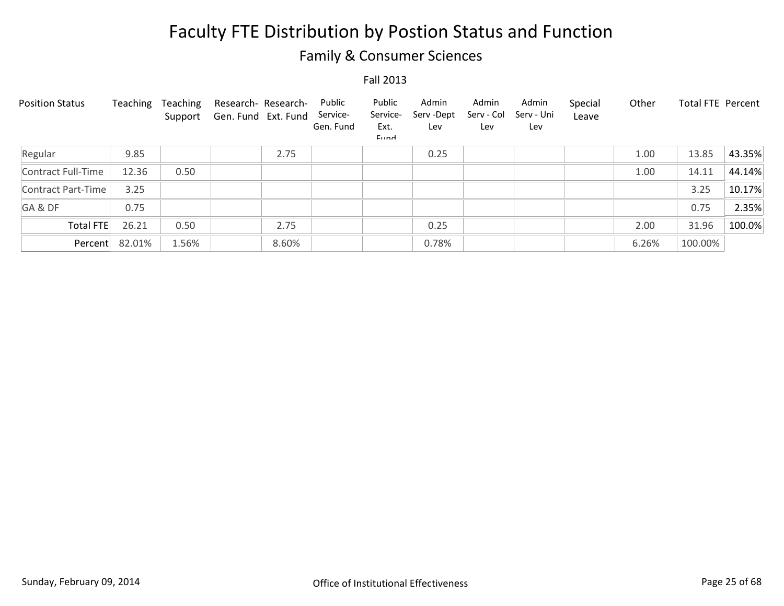## Family & Consumer Sciences

| <b>Position Status</b> | Teaching       | Teaching<br>Support | Research- Research-<br>Gen. Fund Ext. Fund | Public<br>Service-<br>Gen. Fund | Public<br>Service-<br>Ext.<br>Eund | Admin<br>Serv-Dept<br>Lev | Admin<br>Serv - Col<br>Lev | Admin<br>Serv - Uni<br>Lev | Special<br>Leave | Other | <b>Total FTE Percent</b> |        |
|------------------------|----------------|---------------------|--------------------------------------------|---------------------------------|------------------------------------|---------------------------|----------------------------|----------------------------|------------------|-------|--------------------------|--------|
| Regular                | 9.85           |                     | 2.75                                       |                                 |                                    | 0.25                      |                            |                            |                  | 1.00  | 13.85                    | 43.35% |
| Contract Full-Time     | 12.36          | 0.50                |                                            |                                 |                                    |                           |                            |                            |                  | 1.00  | 14.11                    | 44.14% |
| Contract Part-Time     | 3.25           |                     |                                            |                                 |                                    |                           |                            |                            |                  |       | 3.25                     | 10.17% |
| GA&DF                  | 0.75           |                     |                                            |                                 |                                    |                           |                            |                            |                  |       | 0.75                     | 2.35%  |
| <b>Total FTE</b>       | 26.21          | 0.50                | 2.75                                       |                                 |                                    | 0.25                      |                            |                            |                  | 2.00  | 31.96                    | 100.0% |
|                        | Percent 82.01% | 1.56%               | 8.60%                                      |                                 |                                    | 0.78%                     |                            |                            |                  | 6.26% | 100.00%                  |        |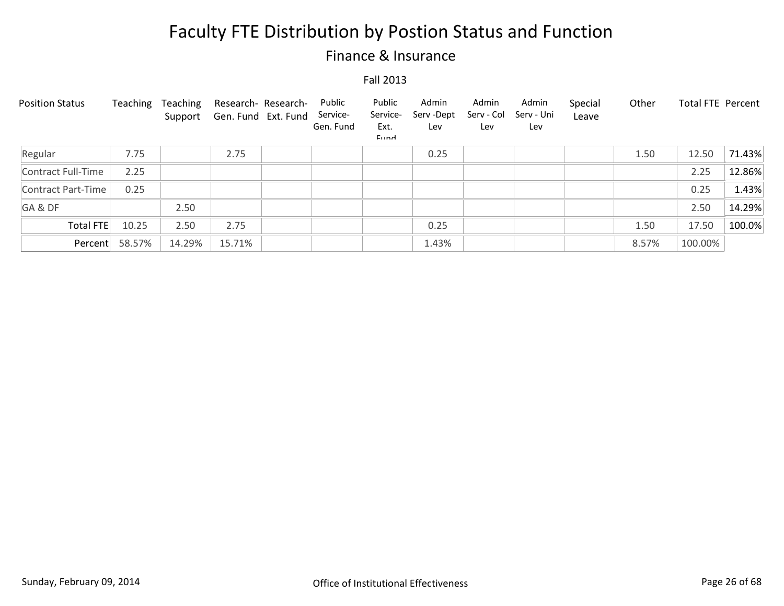### Finance & Insurance

| <b>Position Status</b> | Teaching | Teaching<br>Support | Research- Research-<br>Gen. Fund Ext. Fund | Public<br>Service-<br>Gen. Fund | Public<br>Service-<br>Ext.<br>Eund | Admin<br>Serv-Dept<br>Lev | Admin<br>Serv - Col<br>Lev | Admin<br>Serv - Uni<br>Lev | Special<br>Leave | Other | <b>Total FTE Percent</b> |        |
|------------------------|----------|---------------------|--------------------------------------------|---------------------------------|------------------------------------|---------------------------|----------------------------|----------------------------|------------------|-------|--------------------------|--------|
| Regular                | 7.75     |                     | 2.75                                       |                                 |                                    | 0.25                      |                            |                            |                  | 1.50  | 12.50                    | 71.43% |
| Contract Full-Time     | 2.25     |                     |                                            |                                 |                                    |                           |                            |                            |                  |       | 2.25                     | 12.86% |
| Contract Part-Time     | 0.25     |                     |                                            |                                 |                                    |                           |                            |                            |                  |       | 0.25                     | 1.43%  |
| GA&DF                  |          | 2.50                |                                            |                                 |                                    |                           |                            |                            |                  |       | 2.50                     | 14.29% |
| Total FTE              | 10.25    | 2.50                | 2.75                                       |                                 |                                    | 0.25                      |                            |                            |                  | 1.50  | 17.50                    | 100.0% |
| Percent                | 58.57%   | 14.29%              | 15.71%                                     |                                 |                                    | 1.43%                     |                            |                            |                  | 8.57% | 100.00%                  |        |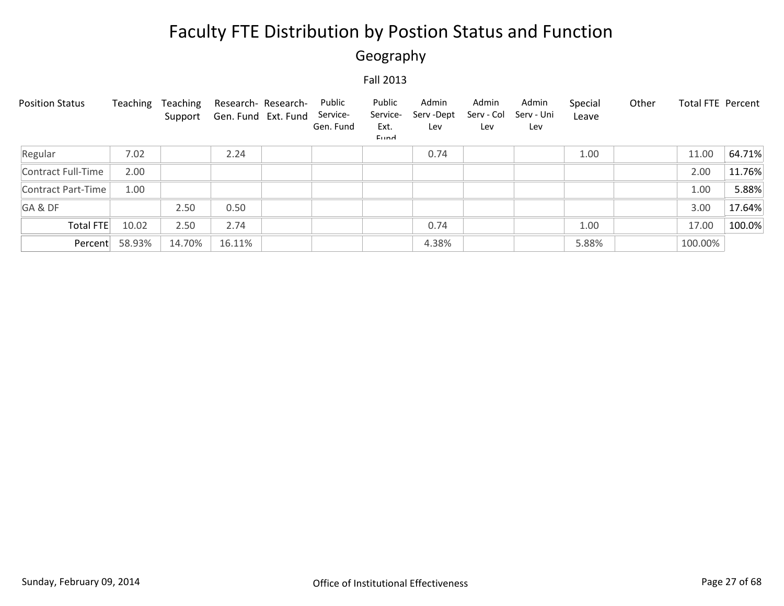## Geography

| <b>Position Status</b> | Teaching | Teaching<br>Support | Research- Research-<br>Gen. Fund Ext. Fund | Public<br>Service-<br>Gen. Fund | Public<br>Service-<br>Ext.<br>Eund | Admin<br>Serv-Dept<br>Lev | Admin<br>Serv - Col<br>Lev | Admin<br>Serv - Uni<br>Lev | Special<br>Leave | Other | <b>Total FTE Percent</b> |        |
|------------------------|----------|---------------------|--------------------------------------------|---------------------------------|------------------------------------|---------------------------|----------------------------|----------------------------|------------------|-------|--------------------------|--------|
| Regular                | 7.02     |                     | 2.24                                       |                                 |                                    | 0.74                      |                            |                            | 1.00             |       | 11.00                    | 64.71% |
| Contract Full-Time     | 2.00     |                     |                                            |                                 |                                    |                           |                            |                            |                  |       | 2.00                     | 11.76% |
| Contract Part-Time     | 1.00     |                     |                                            |                                 |                                    |                           |                            |                            |                  |       | 1.00                     | 5.88%  |
| GA&DF                  |          | 2.50                | 0.50                                       |                                 |                                    |                           |                            |                            |                  |       | 3.00                     | 17.64% |
| Total FTE              | 10.02    | 2.50                | 2.74                                       |                                 |                                    | 0.74                      |                            |                            | 1.00             |       | 17.00                    | 100.0% |
| Percent                | 58.93%   | 14.70%              | 16.11%                                     |                                 |                                    | 4.38%                     |                            |                            | 5.88%            |       | 100.00%                  |        |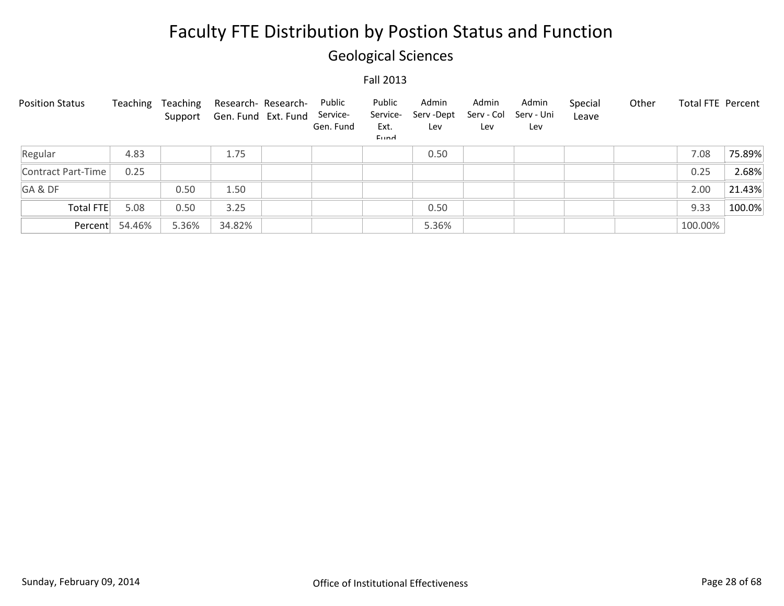## Geological Sciences

| <b>Position Status</b> | Teaching | Teaching | Research- Research-<br>Support Gen. Fund Ext. Fund | Public<br>Service-<br>Gen. Fund | Public<br>Service-<br>Ext.<br><b>Fund</b> | Admin<br>Serv-Dept<br>Lev | Admin<br>Serv - Col<br>Lev | Admin<br>Serv - Uni<br>Lev | Special<br>Leave | Other | Total FTE Percent |        |
|------------------------|----------|----------|----------------------------------------------------|---------------------------------|-------------------------------------------|---------------------------|----------------------------|----------------------------|------------------|-------|-------------------|--------|
| Regular                | 4.83     |          | 1.75                                               |                                 |                                           | 0.50                      |                            |                            |                  |       | 7.08              | 75.89% |
| Contract Part-Time     | 0.25     |          |                                                    |                                 |                                           |                           |                            |                            |                  |       | 0.25              | 2.68%  |
| GA&DF                  |          | 0.50     | 1.50                                               |                                 |                                           |                           |                            |                            |                  |       | 2.00              | 21.43% |
| Total FTE              | 5.08     | 0.50     | 3.25                                               |                                 |                                           | 0.50                      |                            |                            |                  |       | 9.33              | 100.0% |
| Percent                | 54.46%   | 5.36%    | 34.82%                                             |                                 |                                           | 5.36%                     |                            |                            |                  |       | 100.00%           |        |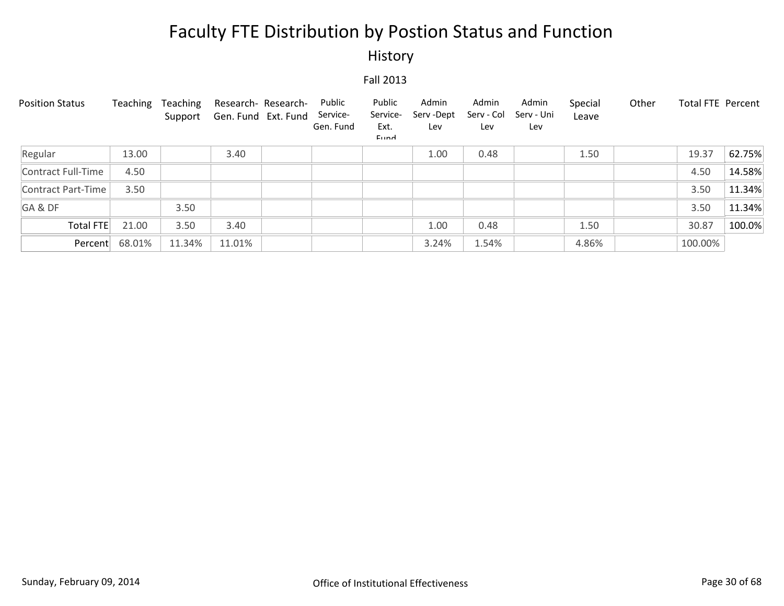### History

| <b>Position Status</b> | Teaching | Teaching<br>Support | Gen. Fund Ext. Fund | Research- Research- | Public<br>Service-<br>Gen. Fund | Public<br>Service-<br>Ext.<br>Eund | Admin<br>Serv-Dept<br>Lev | Admin<br>Serv - Col<br>Lev | Admin<br>Serv - Uni<br>Lev | Special<br>Leave | Other   | <b>Total FTE Percent</b> |
|------------------------|----------|---------------------|---------------------|---------------------|---------------------------------|------------------------------------|---------------------------|----------------------------|----------------------------|------------------|---------|--------------------------|
| Regular                | 13.00    |                     | 3.40                |                     |                                 |                                    | 1.00                      | 0.48                       |                            | 1.50             | 19.37   | 62.75%                   |
| Contract Full-Time     | 4.50     |                     |                     |                     |                                 |                                    |                           |                            |                            |                  | 4.50    | 14.58%                   |
| Contract Part-Time     | 3.50     |                     |                     |                     |                                 |                                    |                           |                            |                            |                  | 3.50    | 11.34%                   |
| GA&DF                  |          | 3.50                |                     |                     |                                 |                                    |                           |                            |                            |                  | 3.50    | 11.34%                   |
| Total FTE              | 21.00    | 3.50                | 3.40                |                     |                                 |                                    | 1.00                      | 0.48                       |                            | 1.50             | 30.87   | 100.0%                   |
| Percent                | 68.01%   | 11.34%              | 11.01%              |                     |                                 |                                    | 3.24%                     | 1.54%                      |                            | 4.86%            | 100.00% |                          |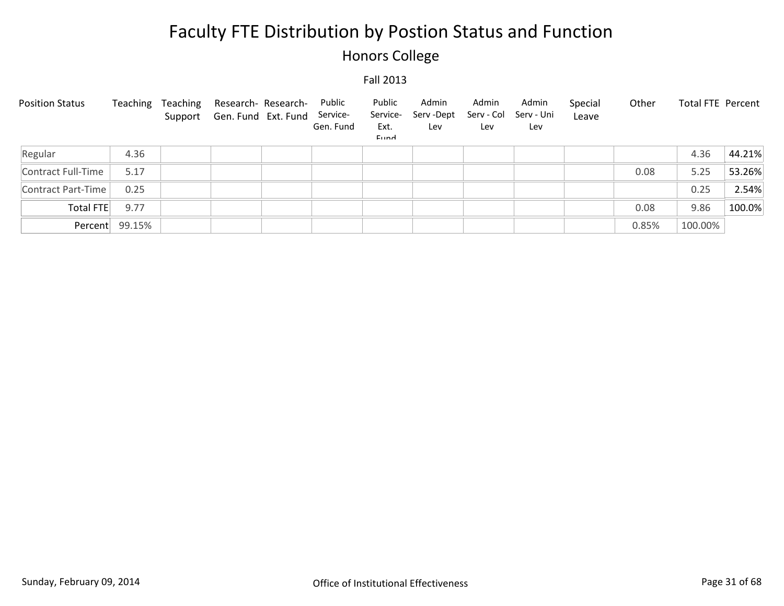## Honors College

| <b>Position Status</b> | Teaching       | Teaching | Research- Research-<br>Support Gen. Fund Ext. Fund | Public<br>Service-<br>Gen. Fund | Public<br>Service-<br>Ext.<br>Eund | Admin<br>Serv -Dept<br>Lev | Admin<br>Serv - Col<br>Lev | Admin<br>Serv - Uni<br>Lev | Special<br>Leave | Other | <b>Total FTE Percent</b> |        |
|------------------------|----------------|----------|----------------------------------------------------|---------------------------------|------------------------------------|----------------------------|----------------------------|----------------------------|------------------|-------|--------------------------|--------|
| Regular                | 4.36           |          |                                                    |                                 |                                    |                            |                            |                            |                  |       | 4.36                     | 44.21% |
| Contract Full-Time     | 5.17           |          |                                                    |                                 |                                    |                            |                            |                            |                  | 0.08  | 5.25                     | 53.26% |
| Contract Part-Time     | 0.25           |          |                                                    |                                 |                                    |                            |                            |                            |                  |       | 0.25                     | 2.54%  |
| Total FTE              | 9.77           |          |                                                    |                                 |                                    |                            |                            |                            |                  | 0.08  | 9.86                     | 100.0% |
|                        | Percent 99.15% |          |                                                    |                                 |                                    |                            |                            |                            |                  | 0.85% | 100.00%                  |        |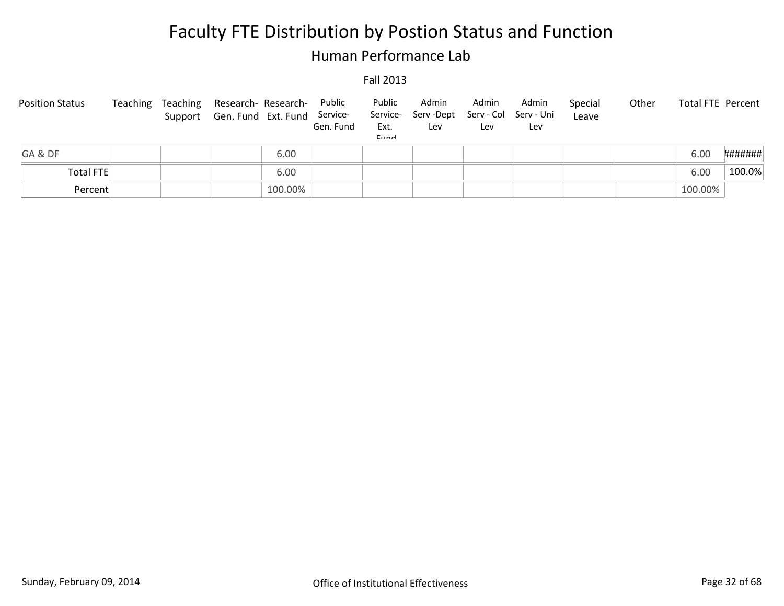### Human Performance Lab

| <b>Position Status</b> | Teaching | Teaching Research-Research-<br>Support Gen. Fund Ext. Fund Service- | Public<br>Gen. Fund | Public<br>Ext.<br>Eund | Admin<br>Service- Serv -Dept<br>Lev | Admin<br>Lev | Admin<br>Serv - Col Serv - Uni<br>Lev | Special<br>Leave | Other | <b>Total FTE Percent</b> |         |
|------------------------|----------|---------------------------------------------------------------------|---------------------|------------------------|-------------------------------------|--------------|---------------------------------------|------------------|-------|--------------------------|---------|
| GA&DF                  |          | 6.00                                                                |                     |                        |                                     |              |                                       |                  |       | 6.00                     | ####### |
| Total FTE              |          | 6.00                                                                |                     |                        |                                     |              |                                       |                  |       | 6.00                     | 100.0%  |
| Percent                |          | 100.00%                                                             |                     |                        |                                     |              |                                       |                  |       | 100.00%                  |         |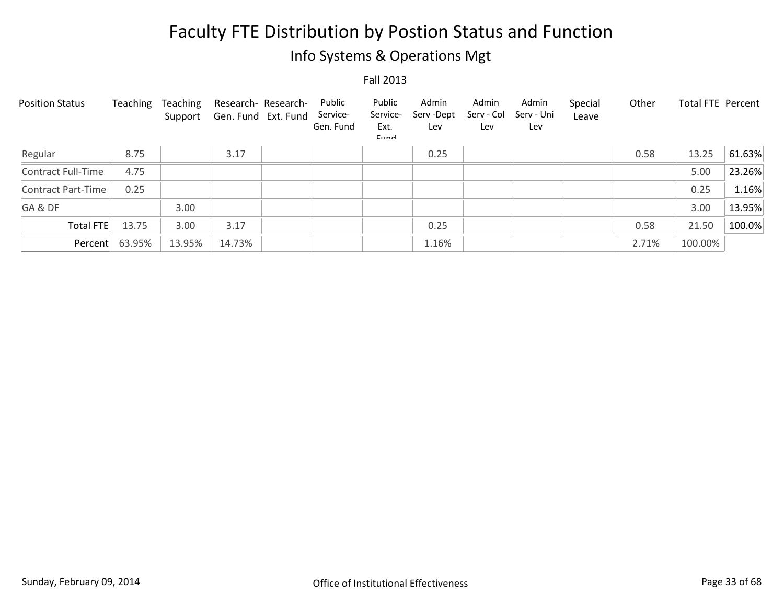## Info Systems & Operations Mgt

| <b>Position Status</b> | Teaching | Teaching<br>Support | Research- Research-<br>Gen. Fund Ext. Fund | Public<br>Service-<br>Gen. Fund | Public<br>Service-<br>Ext.<br><b>Fund</b> | Admin<br>Serv - Dept<br>Lev | Admin<br>Serv - Col<br>Lev | Admin<br>Serv - Uni<br>Lev | Special<br>Leave | Other | <b>Total FTE Percent</b> |        |
|------------------------|----------|---------------------|--------------------------------------------|---------------------------------|-------------------------------------------|-----------------------------|----------------------------|----------------------------|------------------|-------|--------------------------|--------|
| Regular                | 8.75     |                     | 3.17                                       |                                 |                                           | 0.25                        |                            |                            |                  | 0.58  | 13.25                    | 61.63% |
| Contract Full-Time     | 4.75     |                     |                                            |                                 |                                           |                             |                            |                            |                  |       | 5.00                     | 23.26% |
| Contract Part-Time     | 0.25     |                     |                                            |                                 |                                           |                             |                            |                            |                  |       | 0.25                     | 1.16%  |
| GA&DF                  |          | 3.00                |                                            |                                 |                                           |                             |                            |                            |                  |       | 3.00                     | 13.95% |
| Total FTE              | 13.75    | 3.00                | 3.17                                       |                                 |                                           | 0.25                        |                            |                            |                  | 0.58  | 21.50                    | 100.0% |
| Percent                | 63.95%   | 13.95%              | 14.73%                                     |                                 |                                           | 1.16%                       |                            |                            |                  | 2.71% | 100.00%                  |        |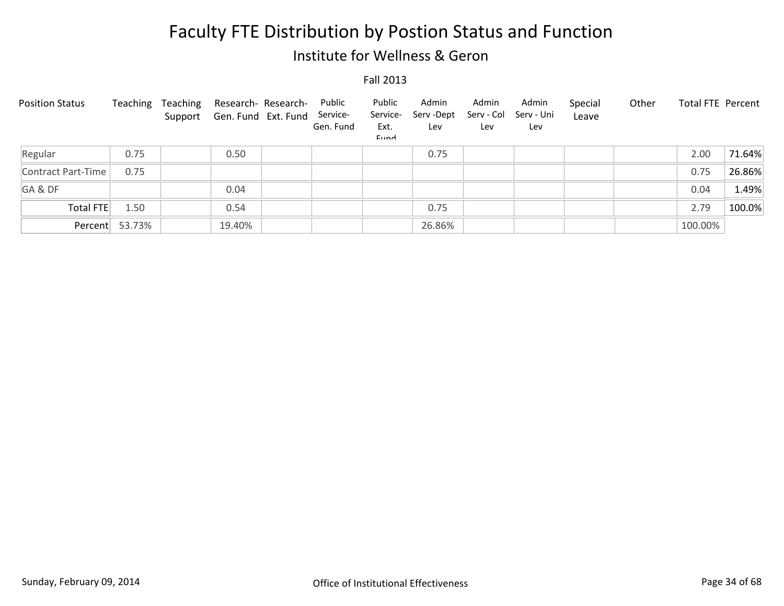### Institute for Wellness & Geron

| <b>Position Status</b> | Teaching       | Teaching | Research- Research-<br>Support Gen. Fund Ext. Fund | Public<br>Service-<br>Gen. Fund | Public<br>Service-<br>Ext.<br>Eund | Admin<br>Serv -Dept<br>Lev | Admin<br>Serv - Col<br>Lev | Admin<br>Serv - Uni<br>Lev | Special<br>Leave | Other | Total FTE Percent |        |
|------------------------|----------------|----------|----------------------------------------------------|---------------------------------|------------------------------------|----------------------------|----------------------------|----------------------------|------------------|-------|-------------------|--------|
| Regular                | 0.75           |          | 0.50                                               |                                 |                                    | 0.75                       |                            |                            |                  |       | 2.00              | 71.64% |
| Contract Part-Time     | 0.75           |          |                                                    |                                 |                                    |                            |                            |                            |                  |       | 0.75              | 26.86% |
| GA&DF                  |                |          | 0.04                                               |                                 |                                    |                            |                            |                            |                  |       | 0.04              | 1.49%  |
| Total FTE              | 1.50           |          | 0.54                                               |                                 |                                    | 0.75                       |                            |                            |                  |       | 2.79              | 100.0% |
|                        | Percent 53.73% |          | 19.40%                                             |                                 |                                    | 26.86%                     |                            |                            |                  |       | 100.00%           |        |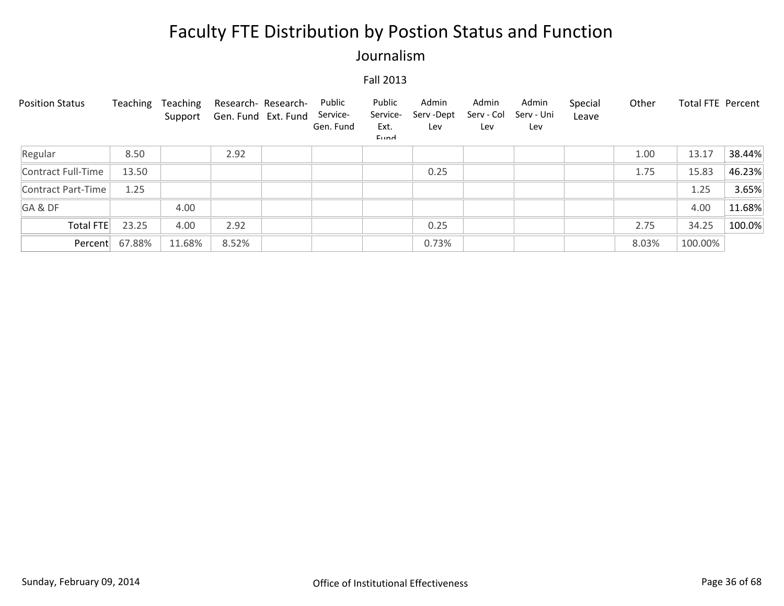### Journalism

| <b>Position Status</b> | Teaching       | Teaching<br>Support | Research- Research-<br>Gen. Fund Ext. Fund | Public<br>Service-<br>Gen. Fund | Public<br>Service-<br>Ext.<br>Eund | Admin<br>Serv-Dept<br>Lev | Admin<br>Serv - Col<br>Lev | Admin<br>Serv - Uni<br>Lev | Special<br>Leave | Other | <b>Total FTE Percent</b> |        |
|------------------------|----------------|---------------------|--------------------------------------------|---------------------------------|------------------------------------|---------------------------|----------------------------|----------------------------|------------------|-------|--------------------------|--------|
| Regular                | 8.50           |                     | 2.92                                       |                                 |                                    |                           |                            |                            |                  | 1.00  | 13.17                    | 38.44% |
| Contract Full-Time     | 13.50          |                     |                                            |                                 |                                    | 0.25                      |                            |                            |                  | 1.75  | 15.83                    | 46.23% |
| Contract Part-Time     | 1.25           |                     |                                            |                                 |                                    |                           |                            |                            |                  |       | 1.25                     | 3.65%  |
| GA&DF                  |                | 4.00                |                                            |                                 |                                    |                           |                            |                            |                  |       | 4.00                     | 11.68% |
| <b>Total FTE</b>       | 23.25          | 4.00                | 2.92                                       |                                 |                                    | 0.25                      |                            |                            |                  | 2.75  | 34.25                    | 100.0% |
|                        | Percent 67.88% | 11.68%              | 8.52%                                      |                                 |                                    | 0.73%                     |                            |                            |                  | 8.03% | 100.00%                  |        |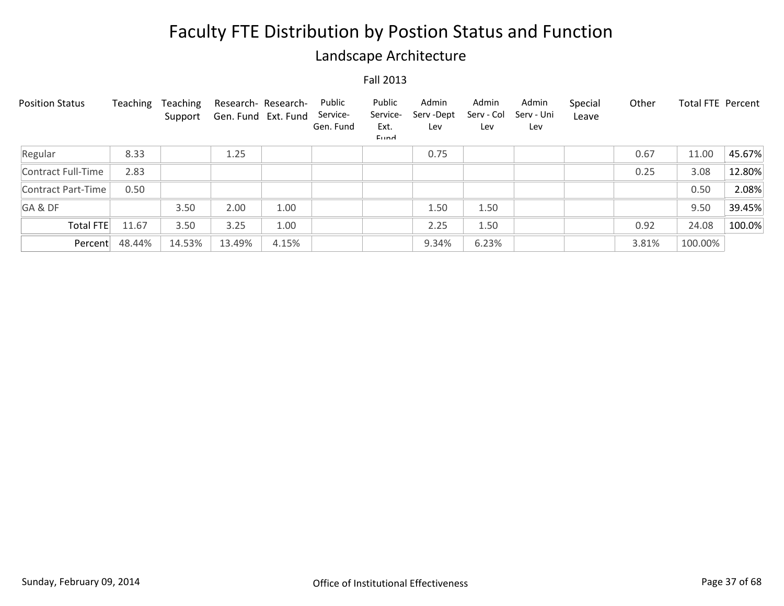### Landscape Architecture

| <b>Position Status</b> | Teaching | <b>Teaching</b><br>Support | Research- Research-<br>Gen. Fund Ext. Fund |       | Public<br>Service-<br>Gen. Fund | Public<br>Service-<br>Ext.<br>Eund | Admin<br>Serv-Dept<br>Lev | Admin<br>Serv - Col<br>Lev | Admin<br>Serv - Uni<br>Lev | Special<br>Leave | Other | <b>Total FTE Percent</b> |        |
|------------------------|----------|----------------------------|--------------------------------------------|-------|---------------------------------|------------------------------------|---------------------------|----------------------------|----------------------------|------------------|-------|--------------------------|--------|
| Regular                | 8.33     |                            | 1.25                                       |       |                                 |                                    | 0.75                      |                            |                            |                  | 0.67  | 11.00                    | 45.67% |
| Contract Full-Time     | 2.83     |                            |                                            |       |                                 |                                    |                           |                            |                            |                  | 0.25  | 3.08                     | 12.80% |
| Contract Part-Time     | 0.50     |                            |                                            |       |                                 |                                    |                           |                            |                            |                  |       | 0.50                     | 2.08%  |
| GA&DF                  |          | 3.50                       | 2.00                                       | 1.00  |                                 |                                    | 1.50                      | 1.50                       |                            |                  |       | 9.50                     | 39.45% |
| Total FTE              | 11.67    | 3.50                       | 3.25                                       | 1.00  |                                 |                                    | 2.25                      | 1.50                       |                            |                  | 0.92  | 24.08                    | 100.0% |
| Percent                | 48.44%   | 14.53%                     | 13.49%                                     | 4.15% |                                 |                                    | 9.34%                     | 6.23%                      |                            |                  | 3.81% | 100.00%                  |        |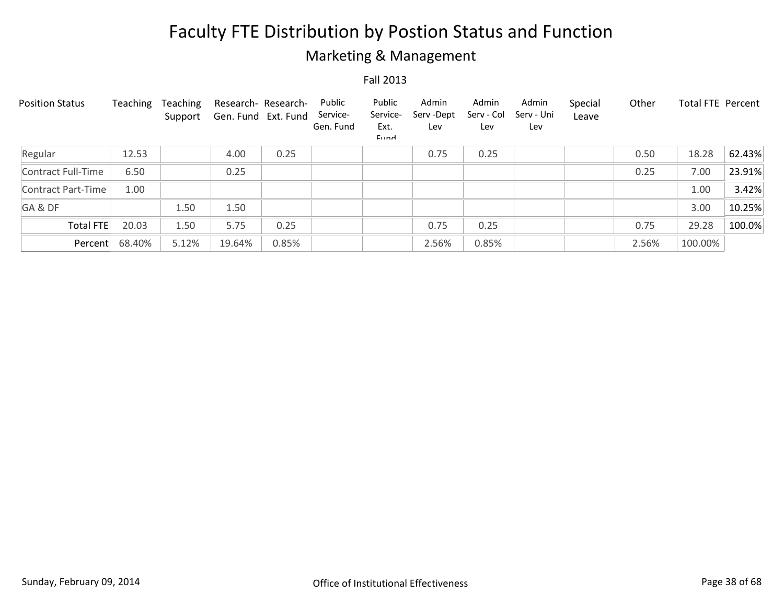## Marketing & Management

| <b>Position Status</b> | Teaching | Teaching<br>Support | Research- Research-<br>Gen. Fund Ext. Fund |       | Public<br>Service-<br>Gen. Fund | Public<br>Service-<br>Ext.<br>Eund | Admin<br>Serv-Dept<br>Lev | Admin<br>Serv - Col<br>Lev | Admin<br>Serv - Uni<br>Lev | Special<br>Leave | Other | <b>Total FTE Percent</b> |        |
|------------------------|----------|---------------------|--------------------------------------------|-------|---------------------------------|------------------------------------|---------------------------|----------------------------|----------------------------|------------------|-------|--------------------------|--------|
| Regular                | 12.53    |                     | 4.00                                       | 0.25  |                                 |                                    | 0.75                      | 0.25                       |                            |                  | 0.50  | 18.28                    | 62.43% |
| Contract Full-Time     | 6.50     |                     | 0.25                                       |       |                                 |                                    |                           |                            |                            |                  | 0.25  | 7.00                     | 23.91% |
| Contract Part-Time     | 1.00     |                     |                                            |       |                                 |                                    |                           |                            |                            |                  |       | 1.00                     | 3.42%  |
| GA&DF                  |          | 1.50                | 1.50                                       |       |                                 |                                    |                           |                            |                            |                  |       | 3.00                     | 10.25% |
| Total FTE              | 20.03    | 1.50                | 5.75                                       | 0.25  |                                 |                                    | 0.75                      | 0.25                       |                            |                  | 0.75  | 29.28                    | 100.0% |
| Percent                | 68.40%   | 5.12%               | 19.64%                                     | 0.85% |                                 |                                    | 2.56%                     | 0.85%                      |                            |                  | 2.56% | 100.00%                  |        |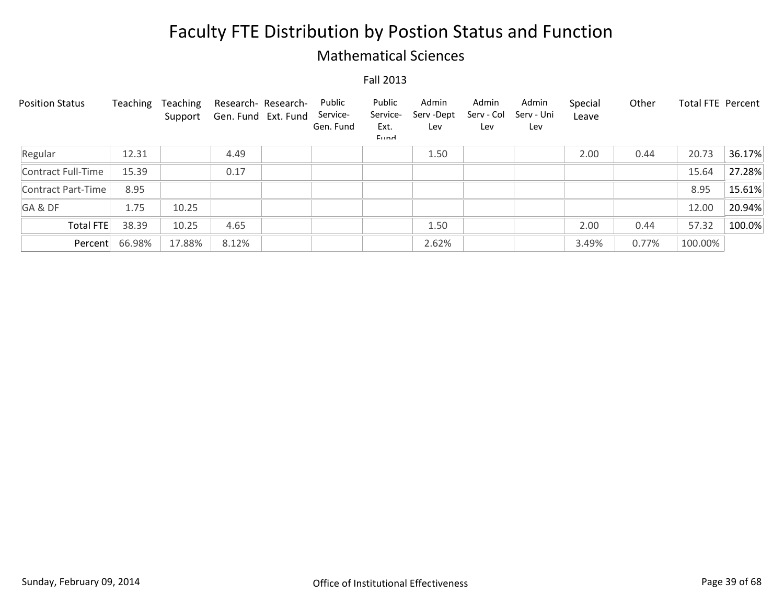### Mathematical Sciences

| <b>Position Status</b> | Teaching | Teaching<br>Support | Research- Research-<br>Gen. Fund Ext. Fund | Public<br>Service-<br>Gen. Fund | Public<br>Service-<br>Ext.<br>Eund | Admin<br>Serv-Dept<br>Lev | Admin<br>Serv - Col<br>Lev | Admin<br>Serv - Uni<br>Lev | Special<br>Leave | Other | Total FTE Percent |        |
|------------------------|----------|---------------------|--------------------------------------------|---------------------------------|------------------------------------|---------------------------|----------------------------|----------------------------|------------------|-------|-------------------|--------|
| Regular                | 12.31    |                     | 4.49                                       |                                 |                                    | 1.50                      |                            |                            | 2.00             | 0.44  | 20.73             | 36.17% |
| Contract Full-Time     | 15.39    |                     | 0.17                                       |                                 |                                    |                           |                            |                            |                  |       | 15.64             | 27.28% |
| Contract Part-Time     | 8.95     |                     |                                            |                                 |                                    |                           |                            |                            |                  |       | 8.95              | 15.61% |
| GA&DF                  | 1.75     | 10.25               |                                            |                                 |                                    |                           |                            |                            |                  |       | 12.00             | 20.94% |
| Total FTE              | 38.39    | 10.25               | 4.65                                       |                                 |                                    | 1.50                      |                            |                            | 2.00             | 0.44  | 57.32             | 100.0% |
| Percent                | 66.98%   | 17.88%              | 8.12%                                      |                                 |                                    | 2.62%                     |                            |                            | 3.49%            | 0.77% | 100.00%           |        |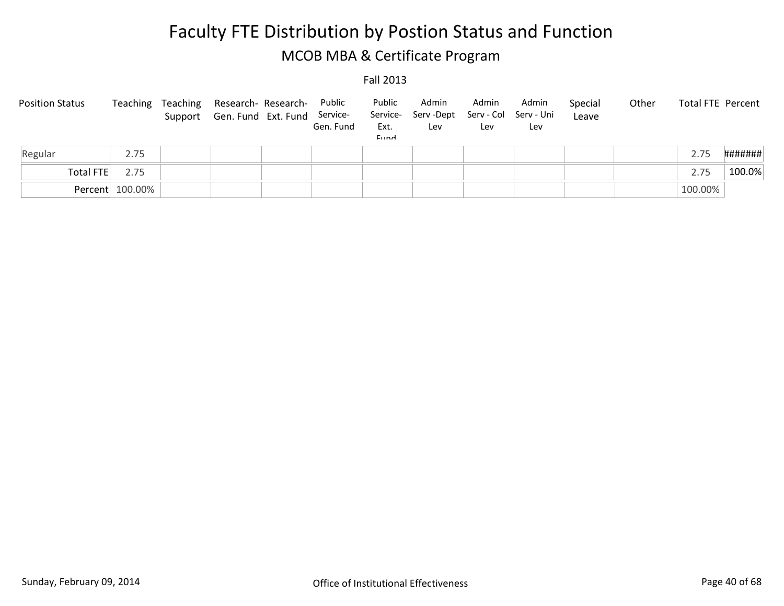# Faculty FTE Distribution by Postion Status and Function MCOB MBA & Certificate Program

| <b>Position Status</b> | Teaching        | Teaching Research-Research-<br>Support Gen. Fund Ext. Fund Service- | Public<br>Gen. Fund | Public<br>Service-<br>Ext.<br>Eund | Admin<br>Serv -Dept<br>Lev | Admin<br>Lev | Admin<br>Serv - Col Serv - Uni<br>Lev | Special<br>Leave | Other | Total FTE Percent |         |
|------------------------|-----------------|---------------------------------------------------------------------|---------------------|------------------------------------|----------------------------|--------------|---------------------------------------|------------------|-------|-------------------|---------|
| Regular                | 2.75            |                                                                     |                     |                                    |                            |              |                                       |                  |       | 2.75              | ####### |
| Total FTE              | 2.75            |                                                                     |                     |                                    |                            |              |                                       |                  |       | 2.75              | 100.0%  |
|                        | Percent 100.00% |                                                                     |                     |                                    |                            |              |                                       |                  |       | 100.00%           |         |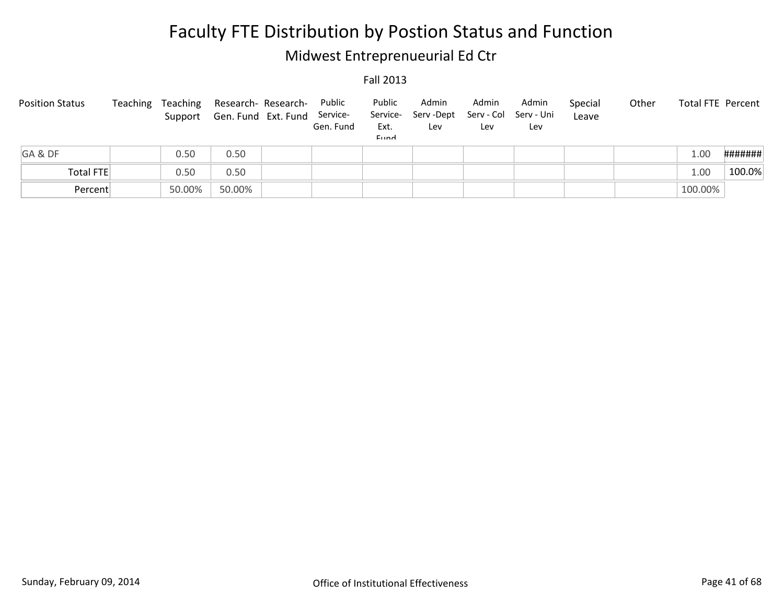## Midwest Entreprenueurial Ed Ctr

| <b>Position Status</b> | Teaching |        | Teaching Research-Research-<br>Support Gen. Fund Ext. Fund Service- | Public<br>Gen. Fund | Public<br>Ext.<br>Eund | Admin<br>Service- Serv-Dept<br>Lev | Admin<br>Lev | Admin<br>Serv - Col Serv - Uni<br>Lev | Special<br>Leave | Other | Total FTE Percent |         |
|------------------------|----------|--------|---------------------------------------------------------------------|---------------------|------------------------|------------------------------------|--------------|---------------------------------------|------------------|-------|-------------------|---------|
| GA&DF                  |          | 0.50   | 0.50                                                                |                     |                        |                                    |              |                                       |                  |       | 1.00              | ####### |
| Total FTE              |          | 0.50   | 0.50                                                                |                     |                        |                                    |              |                                       |                  |       | 1.00              | 100.0%  |
| Percent                |          | 50.00% | 50.00%                                                              |                     |                        |                                    |              |                                       |                  |       | 100.00%           |         |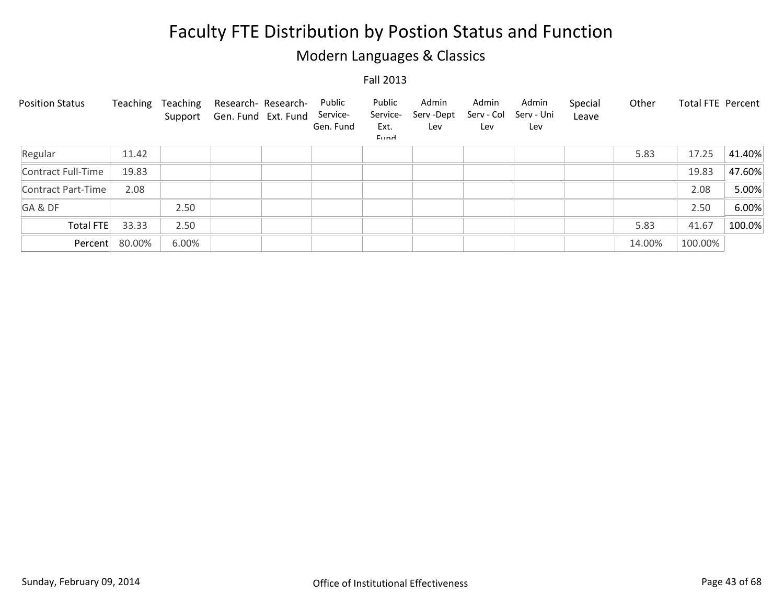## Modern Languages & Classics

| <b>Position Status</b> | Teaching | Teaching<br>Support | Research- Research-<br>Gen. Fund Ext. Fund | Public<br>Service-<br>Gen. Fund | Public<br>Service-<br>Ext.<br>Eund | Admin<br>Serv-Dept<br>Lev | Admin<br>Serv - Col<br>Lev | Admin<br>Serv - Uni<br>Lev | Special<br>Leave | Other  | Total FTE Percent |        |
|------------------------|----------|---------------------|--------------------------------------------|---------------------------------|------------------------------------|---------------------------|----------------------------|----------------------------|------------------|--------|-------------------|--------|
| Regular                | 11.42    |                     |                                            |                                 |                                    |                           |                            |                            |                  | 5.83   | 17.25             | 41.40% |
| Contract Full-Time     | 19.83    |                     |                                            |                                 |                                    |                           |                            |                            |                  |        | 19.83             | 47.60% |
| Contract Part-Time     | 2.08     |                     |                                            |                                 |                                    |                           |                            |                            |                  |        | 2.08              | 5.00%  |
| GA&DF                  |          | 2.50                |                                            |                                 |                                    |                           |                            |                            |                  |        | 2.50              | 6.00%  |
| Total FTE              | 33.33    | 2.50                |                                            |                                 |                                    |                           |                            |                            |                  | 5.83   | 41.67             | 100.0% |
| Percent                | 80.00%   | 6.00%               |                                            |                                 |                                    |                           |                            |                            |                  | 14.00% | 100.00%           |        |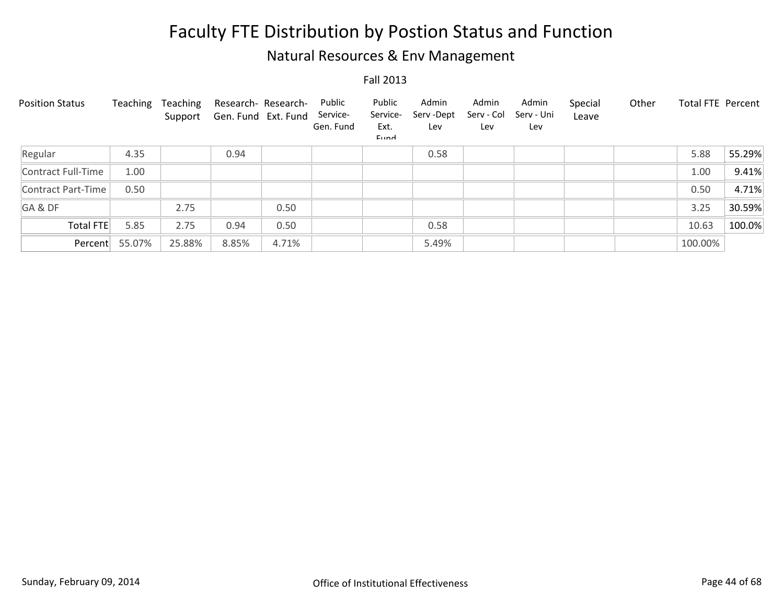## Natural Resources & Env Management

| <b>Position Status</b> | Teaching | Teaching<br>Support | Research- Research-<br>Gen. Fund Ext. Fund |       | Public<br>Service-<br>Gen. Fund | Public<br>Service-<br>Ext.<br>Eund | Admin<br>Serv-Dept<br>Lev | Admin<br>Serv - Col<br>Lev | Admin<br>Serv - Uni<br>Lev | Special<br>Leave | Other | <b>Total FTE Percent</b> |        |
|------------------------|----------|---------------------|--------------------------------------------|-------|---------------------------------|------------------------------------|---------------------------|----------------------------|----------------------------|------------------|-------|--------------------------|--------|
| Regular                | 4.35     |                     | 0.94                                       |       |                                 |                                    | 0.58                      |                            |                            |                  |       | 5.88                     | 55.29% |
| Contract Full-Time     | 1.00     |                     |                                            |       |                                 |                                    |                           |                            |                            |                  |       | 1.00                     | 9.41%  |
| Contract Part-Time     | 0.50     |                     |                                            |       |                                 |                                    |                           |                            |                            |                  |       | 0.50                     | 4.71%  |
| GA&DF                  |          | 2.75                |                                            | 0.50  |                                 |                                    |                           |                            |                            |                  |       | 3.25                     | 30.59% |
| Total FTE              | 5.85     | 2.75                | 0.94                                       | 0.50  |                                 |                                    | 0.58                      |                            |                            |                  |       | 10.63                    | 100.0% |
| Percent                | 55.07%   | 25.88%              | 8.85%                                      | 4.71% |                                 |                                    | 5.49%                     |                            |                            |                  |       | 100.00%                  |        |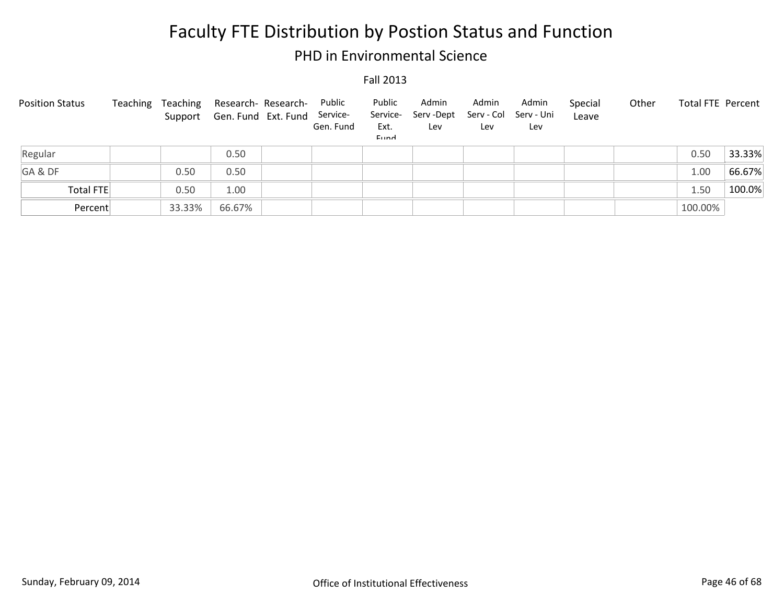### PHD in Environmental Science

| <b>Position Status</b> | Teaching | Teaching | Research- Research-<br>Support Gen. Fund Ext. Fund | Public<br>Service-<br>Gen. Fund | Public<br>Service-<br>Ext.<br>Eund | Admin<br>Serv -Dept<br>Lev | Admin<br>Lev | Admin<br>Serv - Col Serv - Uni<br>Lev | Special<br>Leave | Other | <b>Total FTE Percent</b> |        |
|------------------------|----------|----------|----------------------------------------------------|---------------------------------|------------------------------------|----------------------------|--------------|---------------------------------------|------------------|-------|--------------------------|--------|
| Regular                |          |          | 0.50                                               |                                 |                                    |                            |              |                                       |                  |       | 0.50                     | 33.33% |
| GA&DF                  |          | 0.50     | 0.50                                               |                                 |                                    |                            |              |                                       |                  |       | 1.00                     | 66.67% |
| <b>Total FTE</b>       |          | 0.50     | 1.00                                               |                                 |                                    |                            |              |                                       |                  |       | 1.50                     | 100.0% |
| Percent                |          | 33.33%   | 66.67%                                             |                                 |                                    |                            |              |                                       |                  |       | 100.00%                  |        |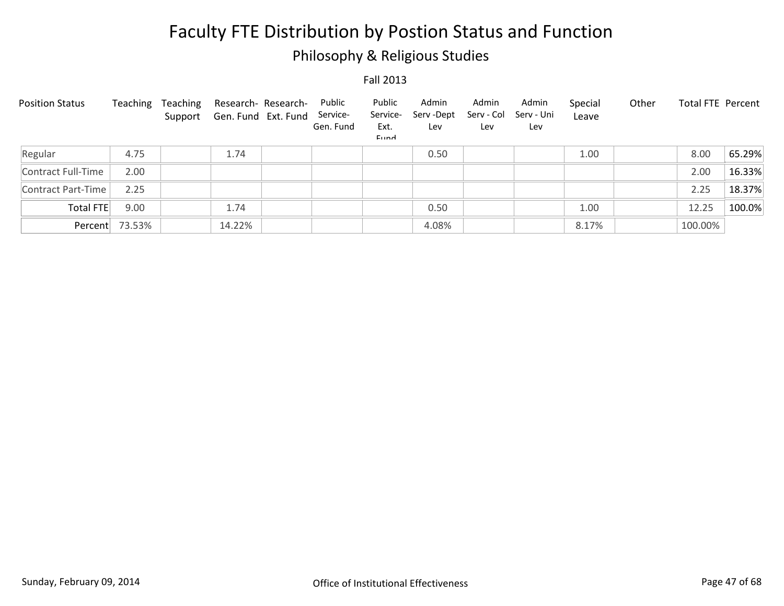## Philosophy & Religious Studies

| <b>Position Status</b> | Teaching       | Teaching | Research- Research-<br>Support Gen. Fund Ext. Fund | Public<br>Service-<br>Gen. Fund | Public<br>Service-<br>Ext.<br>Eund | Admin<br>Serv-Dept<br>Lev | Admin<br>Serv - Col<br>Lev | Admin<br>Serv - Uni<br>Lev | Special<br>Leave | Other | <b>Total FTE Percent</b> |        |
|------------------------|----------------|----------|----------------------------------------------------|---------------------------------|------------------------------------|---------------------------|----------------------------|----------------------------|------------------|-------|--------------------------|--------|
| Regular                | 4.75           |          | 1.74                                               |                                 |                                    | 0.50                      |                            |                            | 1.00             |       | 8.00                     | 65.29% |
| Contract Full-Time     | 2.00           |          |                                                    |                                 |                                    |                           |                            |                            |                  |       | 2.00                     | 16.33% |
| Contract Part-Time     | 2.25           |          |                                                    |                                 |                                    |                           |                            |                            |                  |       | 2.25                     | 18.37% |
| Total FTE              | 9.00           |          | 1.74                                               |                                 |                                    | 0.50                      |                            |                            | 1.00             |       | 12.25                    | 100.0% |
|                        | Percent 73.53% |          | 14.22%                                             |                                 |                                    | 4.08%                     |                            |                            | 8.17%            |       | 100.00%                  |        |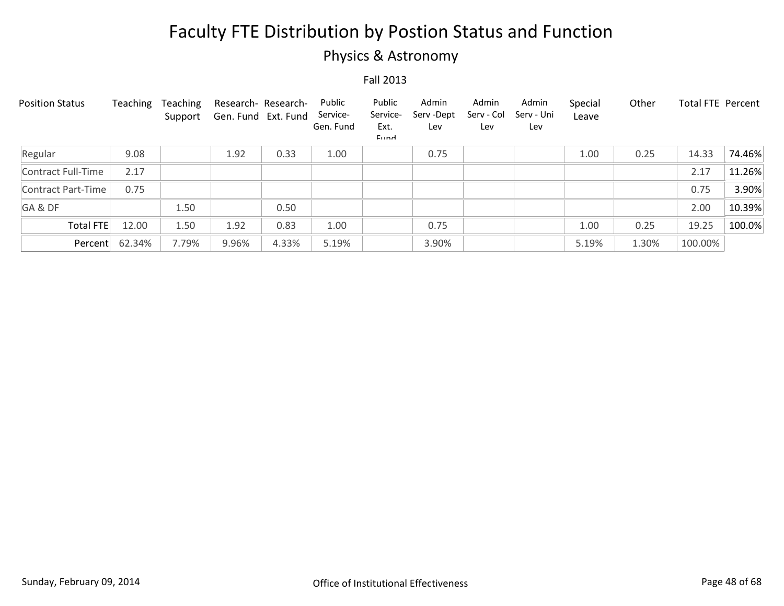## Physics & Astronomy

| <b>Position Status</b> | Teaching | Teaching<br>Support | Research- Research-<br>Gen. Fund Ext. Fund |       | Public<br>Service-<br>Gen. Fund | Public<br>Service-<br>Ext.<br>Eund | Admin<br>Serv-Dept<br>Lev | Admin<br>Serv - Col<br>Lev | Admin<br>Serv - Uni<br>Lev | Special<br>Leave | Other | <b>Total FTE Percent</b> |        |
|------------------------|----------|---------------------|--------------------------------------------|-------|---------------------------------|------------------------------------|---------------------------|----------------------------|----------------------------|------------------|-------|--------------------------|--------|
| Regular                | 9.08     |                     | 1.92                                       | 0.33  | 1.00                            |                                    | 0.75                      |                            |                            | 1.00             | 0.25  | 14.33                    | 74.46% |
| Contract Full-Time     | 2.17     |                     |                                            |       |                                 |                                    |                           |                            |                            |                  |       | 2.17                     | 11.26% |
| Contract Part-Time     | 0.75     |                     |                                            |       |                                 |                                    |                           |                            |                            |                  |       | 0.75                     | 3.90%  |
| GA&DF                  |          | 1.50                |                                            | 0.50  |                                 |                                    |                           |                            |                            |                  |       | 2.00                     | 10.39% |
| <b>Total FTE</b>       | 12.00    | 1.50                | 1.92                                       | 0.83  | 1.00                            |                                    | 0.75                      |                            |                            | 1.00             | 0.25  | 19.25                    | 100.0% |
| Percent                | 62.34%   | 7.79%               | 9.96%                                      | 4.33% | 5.19%                           |                                    | 3.90%                     |                            |                            | 5.19%            | 1.30% | 100.00%                  |        |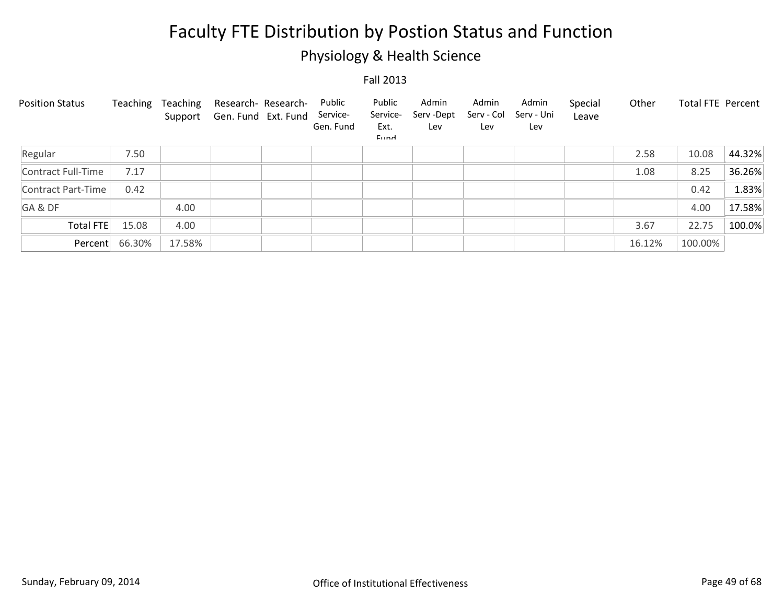## Physiology & Health Science

| <b>Position Status</b> | Teaching | Teaching<br>Support | Research- Research-<br>Gen. Fund Ext. Fund | Public<br>Service-<br>Gen. Fund | Public<br>Service-<br>Ext.<br>Eund | Admin<br>Serv -Dept<br>Lev | Admin<br>Serv - Col<br>Lev | Admin<br>Serv - Uni<br>Lev | Special<br>Leave | Other  | Total FTE Percent |        |
|------------------------|----------|---------------------|--------------------------------------------|---------------------------------|------------------------------------|----------------------------|----------------------------|----------------------------|------------------|--------|-------------------|--------|
| Regular                | 7.50     |                     |                                            |                                 |                                    |                            |                            |                            |                  | 2.58   | 10.08             | 44.32% |
| Contract Full-Time     | 7.17     |                     |                                            |                                 |                                    |                            |                            |                            |                  | 1.08   | 8.25              | 36.26% |
| Contract Part-Time     | 0.42     |                     |                                            |                                 |                                    |                            |                            |                            |                  |        | 0.42              | 1.83%  |
| GA&DF                  |          | 4.00                |                                            |                                 |                                    |                            |                            |                            |                  |        | 4.00              | 17.58% |
| <b>Total FTE</b>       | 15.08    | 4.00                |                                            |                                 |                                    |                            |                            |                            |                  | 3.67   | 22.75             | 100.0% |
| Percent                | 66.30%   | 17.58%              |                                            |                                 |                                    |                            |                            |                            |                  | 16.12% | 100.00%           |        |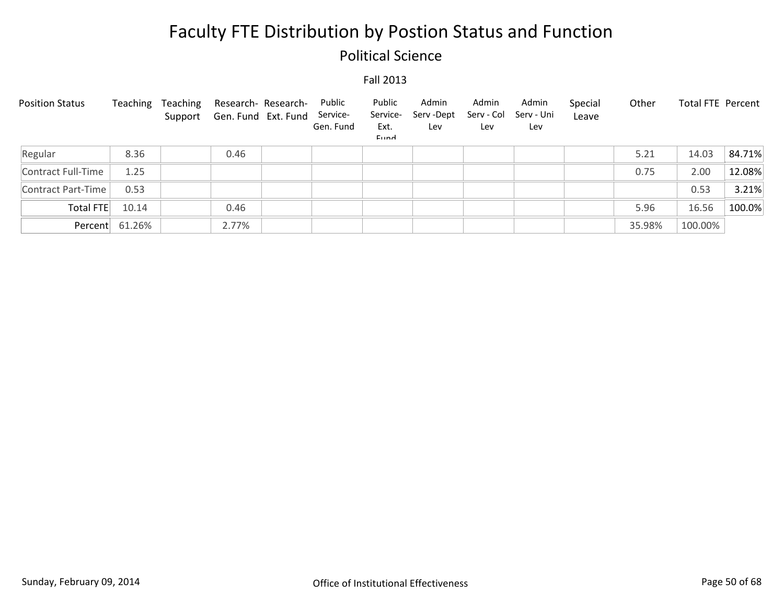### Political Science

| <b>Position Status</b> | Teaching       | Teaching | Research- Research-<br>Support Gen. Fund Ext. Fund | Public<br>Service-<br>Gen. Fund | Public<br>Service-<br>Ext.<br><b>Fund</b> | Admin<br>Serv-Dept<br>Lev | Admin<br>Serv - Col<br>Lev | Admin<br>Serv - Uni<br>Lev | Special<br>Leave | Other  | <b>Total FTE Percent</b> |        |
|------------------------|----------------|----------|----------------------------------------------------|---------------------------------|-------------------------------------------|---------------------------|----------------------------|----------------------------|------------------|--------|--------------------------|--------|
| Regular                | 8.36           |          | 0.46                                               |                                 |                                           |                           |                            |                            |                  | 5.21   | 14.03                    | 84.71% |
| Contract Full-Time     | 1.25           |          |                                                    |                                 |                                           |                           |                            |                            |                  | 0.75   | 2.00                     | 12.08% |
| Contract Part-Time     | 0.53           |          |                                                    |                                 |                                           |                           |                            |                            |                  |        | 0.53                     | 3.21%  |
| Total FTE              | 10.14          |          | 0.46                                               |                                 |                                           |                           |                            |                            |                  | 5.96   | 16.56                    | 100.0% |
|                        | Percent 61.26% |          | 2.77%                                              |                                 |                                           |                           |                            |                            |                  | 35.98% | 100.00%                  |        |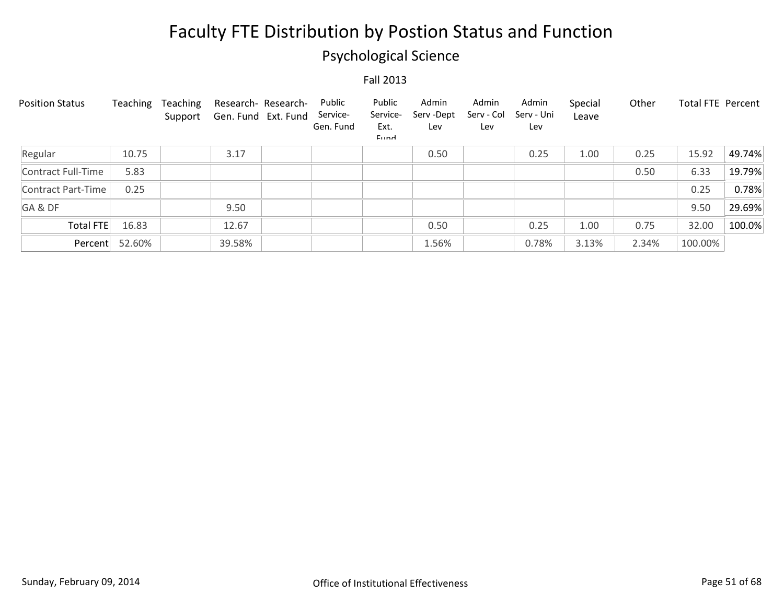## Psychological Science

| <b>Position Status</b> | Teaching       | Teaching<br>Support | Gen. Fund Ext. Fund | Research- Research- | Public<br>Service-<br>Gen. Fund | Public<br>Service-<br>Ext.<br>Eund | Admin<br>Serv-Dept<br>Lev | Admin<br>Serv - Col<br>Lev | Admin<br>Serv - Uni<br>Lev | Special<br>Leave | Other | <b>Total FTE Percent</b> |        |
|------------------------|----------------|---------------------|---------------------|---------------------|---------------------------------|------------------------------------|---------------------------|----------------------------|----------------------------|------------------|-------|--------------------------|--------|
| Regular                | 10.75          |                     | 3.17                |                     |                                 |                                    | 0.50                      |                            | 0.25                       | 1.00             | 0.25  | 15.92                    | 49.74% |
| Contract Full-Time     | 5.83           |                     |                     |                     |                                 |                                    |                           |                            |                            |                  | 0.50  | 6.33                     | 19.79% |
| Contract Part-Time     | 0.25           |                     |                     |                     |                                 |                                    |                           |                            |                            |                  |       | 0.25                     | 0.78%  |
| GA&DF                  |                |                     | 9.50                |                     |                                 |                                    |                           |                            |                            |                  |       | 9.50                     | 29.69% |
| Total FTE              | 16.83          |                     | 12.67               |                     |                                 |                                    | 0.50                      |                            | 0.25                       | 1.00             | 0.75  | 32.00                    | 100.0% |
|                        | Percent 52.60% |                     | 39.58%              |                     |                                 |                                    | 1.56%                     |                            | 0.78%                      | 3.13%            | 2.34% | 100.00%                  |        |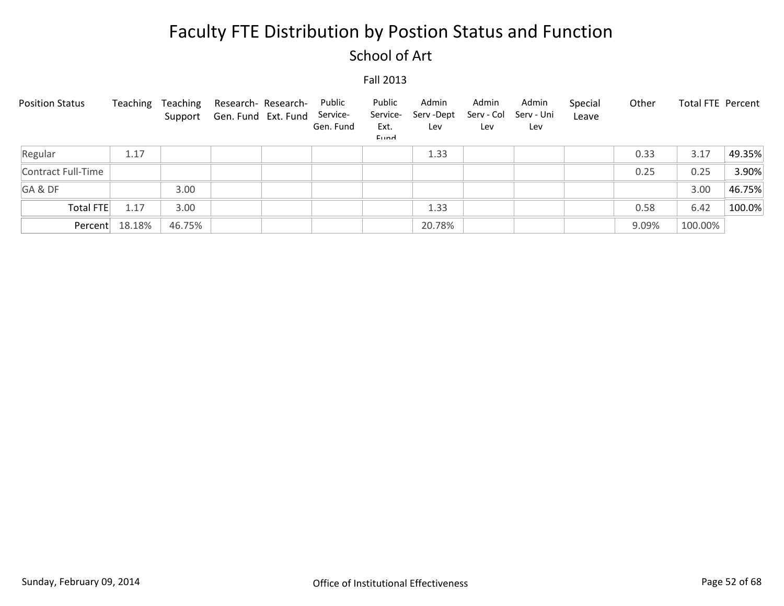### School of Art

| <b>Position Status</b> | Teaching | Teaching | Research- Research-<br>Support Gen. Fund Ext. Fund | Public<br>Service-<br>Gen. Fund | Public<br>Service-<br>Ext.<br>Eund | Admin<br>Serv -Dept<br>Lev | Admin<br>Serv - Col<br>Lev | Admin<br>Serv - Uni<br>Lev | Special<br>Leave | Other | Total FTE Percent |        |
|------------------------|----------|----------|----------------------------------------------------|---------------------------------|------------------------------------|----------------------------|----------------------------|----------------------------|------------------|-------|-------------------|--------|
| Regular                | 1.17     |          |                                                    |                                 |                                    | 1.33                       |                            |                            |                  | 0.33  | 3.17              | 49.35% |
| Contract Full-Time     |          |          |                                                    |                                 |                                    |                            |                            |                            |                  | 0.25  | 0.25              | 3.90%  |
| GA&DF                  |          | 3.00     |                                                    |                                 |                                    |                            |                            |                            |                  |       | 3.00              | 46.75% |
| Total FTE              | 1.17     | 3.00     |                                                    |                                 |                                    | 1.33                       |                            |                            |                  | 0.58  | 6.42              | 100.0% |
| Percent                | 18.18%   | 46.75%   |                                                    |                                 |                                    | 20.78%                     |                            |                            |                  | 9.09% | 100.00%           |        |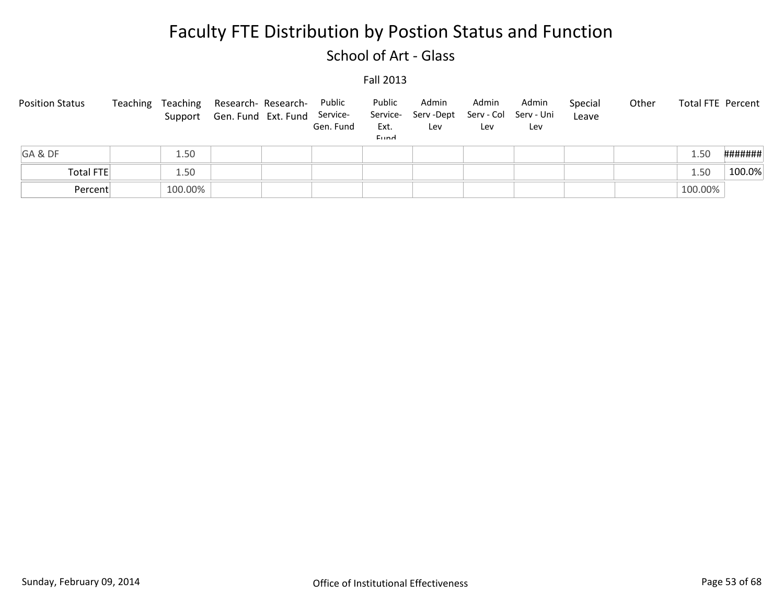### School of Art - Glass

| <b>Position Status</b> | Teaching |         | Teaching Research-Research-<br>Support Gen. Fund Ext. Fund Service- | Public<br>Gen. Fund | Public<br>Ext.<br>Eund | Admin<br>Service- Serv-Dept<br>Lev | Admin<br>Lev | Admin<br>Serv - Col Serv - Uni<br>Lev | Special<br>Leave | Other |         | Total FTE Percent |
|------------------------|----------|---------|---------------------------------------------------------------------|---------------------|------------------------|------------------------------------|--------------|---------------------------------------|------------------|-------|---------|-------------------|
| GA&DF                  |          | 1.50    |                                                                     |                     |                        |                                    |              |                                       |                  |       | .50     | #######           |
| Total FTE              |          | 1.50    |                                                                     |                     |                        |                                    |              |                                       |                  |       | 50.ء    | 100.0%            |
| Percent                |          | 100.00% |                                                                     |                     |                        |                                    |              |                                       |                  |       | 100.00% |                   |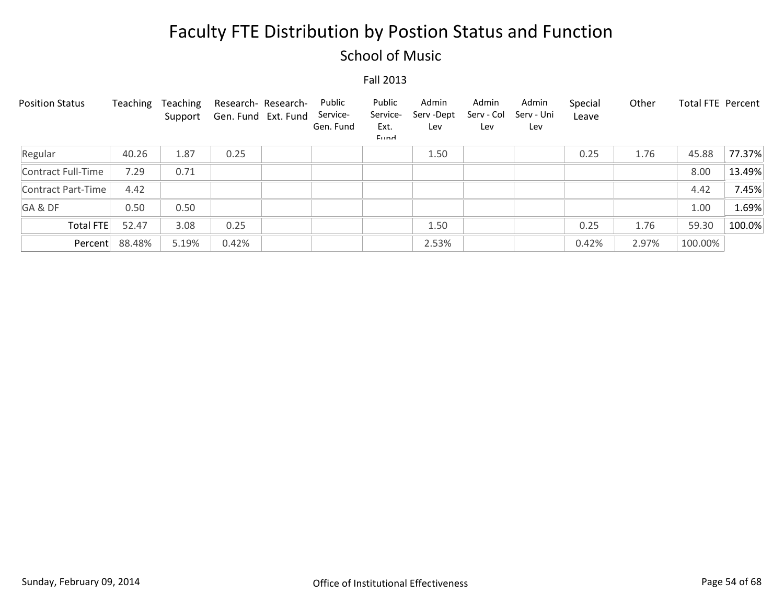### School of Music

| <b>Position Status</b> | Teaching | Teaching<br>Support | Gen. Fund Ext. Fund | Research- Research- | Public<br>Service-<br>Gen. Fund | Public<br>Service-<br>Ext.<br>Eund | Admin<br>Serv-Dept<br>Lev | Admin<br>Serv - Col<br>Lev | Admin<br>Serv - Uni<br>Lev | Special<br>Leave | Other | <b>Total FTE Percent</b> |        |
|------------------------|----------|---------------------|---------------------|---------------------|---------------------------------|------------------------------------|---------------------------|----------------------------|----------------------------|------------------|-------|--------------------------|--------|
| Regular                | 40.26    | 1.87                | 0.25                |                     |                                 |                                    | 1.50                      |                            |                            | 0.25             | 1.76  | 45.88                    | 77.37% |
| Contract Full-Time     | 7.29     | 0.71                |                     |                     |                                 |                                    |                           |                            |                            |                  |       | 8.00                     | 13.49% |
| Contract Part-Time     | 4.42     |                     |                     |                     |                                 |                                    |                           |                            |                            |                  |       | 4.42                     | 7.45%  |
| GA&DF                  | 0.50     | 0.50                |                     |                     |                                 |                                    |                           |                            |                            |                  |       | 1.00                     | 1.69%  |
| Total FTE              | 52.47    | 3.08                | 0.25                |                     |                                 |                                    | 1.50                      |                            |                            | 0.25             | 1.76  | 59.30                    | 100.0% |
| Percent                | 88.48%   | 5.19%               | 0.42%               |                     |                                 |                                    | 2.53%                     |                            |                            | 0.42%            | 2.97% | 100.00%                  |        |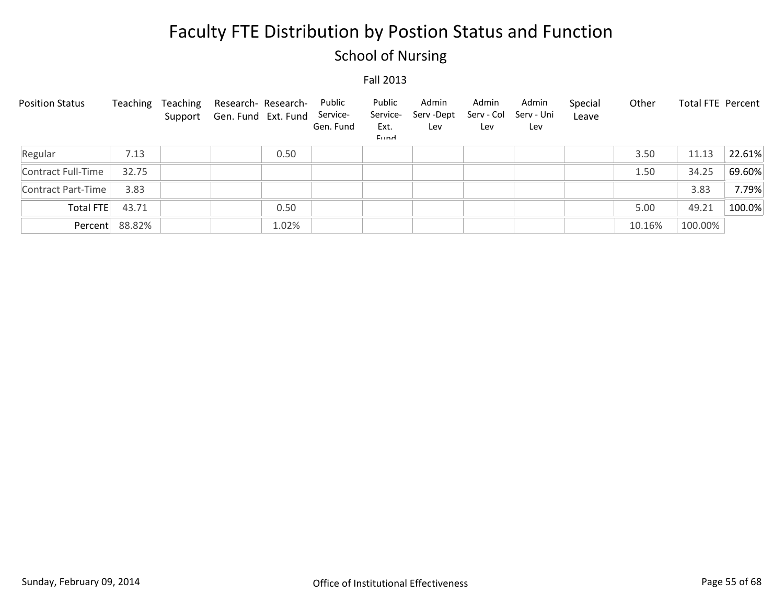## School of Nursing

| <b>Position Status</b> | Teaching       | Teaching | Research- Research-<br>Support Gen. Fund Ext. Fund |       | Public<br>Service-<br>Gen. Fund | Public<br>Service-<br>Ext.<br>Eund | Admin<br>Serv -Dept<br>Lev | Admin<br>Serv - Col<br>Lev | Admin<br>Serv - Uni<br>Lev | Special<br>Leave | Other  | Total FTE Percent |        |
|------------------------|----------------|----------|----------------------------------------------------|-------|---------------------------------|------------------------------------|----------------------------|----------------------------|----------------------------|------------------|--------|-------------------|--------|
| Regular                | 7.13           |          |                                                    | 0.50  |                                 |                                    |                            |                            |                            |                  | 3.50   | 11.13             | 22.61% |
| Contract Full-Time     | 32.75          |          |                                                    |       |                                 |                                    |                            |                            |                            |                  | 1.50   | 34.25             | 69.60% |
| Contract Part-Time     | 3.83           |          |                                                    |       |                                 |                                    |                            |                            |                            |                  |        | 3.83              | 7.79%  |
| Total FTE              | 43.71          |          |                                                    | 0.50  |                                 |                                    |                            |                            |                            |                  | 5.00   | 49.21             | 100.0% |
|                        | Percent 88.82% |          |                                                    | 1.02% |                                 |                                    |                            |                            |                            |                  | 10.16% | 100.00%           |        |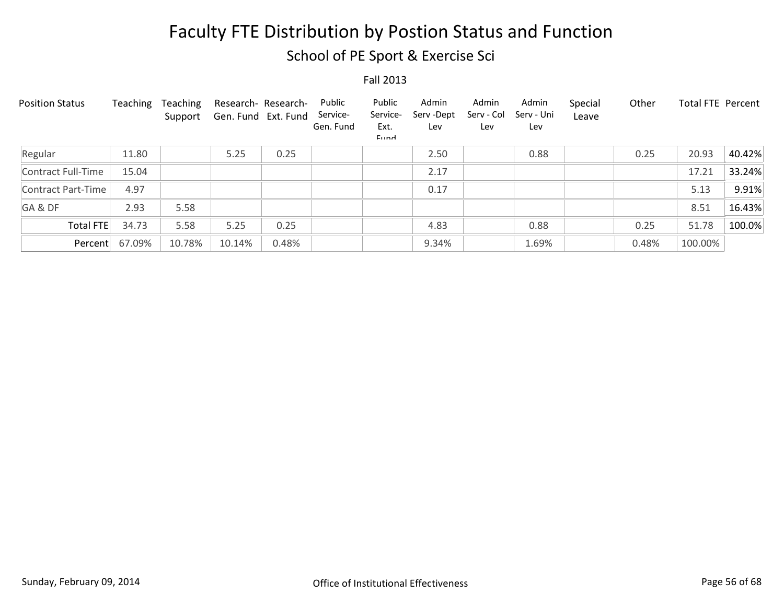School of PE Sport & Exercise Sci

| <b>Position Status</b> | Teaching | Teaching<br>Support | Research- Research-<br>Gen. Fund Ext. Fund |       | Public<br>Service-<br>Gen. Fund | Public<br>Service-<br>Ext.<br>Eund | Admin<br>Serv-Dept<br>Lev | Admin<br>Serv - Col<br>Lev | Admin<br>Serv - Uni<br>Lev | Special<br>Leave | Other | <b>Total FTE Percent</b> |        |
|------------------------|----------|---------------------|--------------------------------------------|-------|---------------------------------|------------------------------------|---------------------------|----------------------------|----------------------------|------------------|-------|--------------------------|--------|
| Regular                | 11.80    |                     | 5.25                                       | 0.25  |                                 |                                    | 2.50                      |                            | 0.88                       |                  | 0.25  | 20.93                    | 40.42% |
| Contract Full-Time     | 15.04    |                     |                                            |       |                                 |                                    | 2.17                      |                            |                            |                  |       | 17.21                    | 33.24% |
| Contract Part-Time     | 4.97     |                     |                                            |       |                                 |                                    | 0.17                      |                            |                            |                  |       | 5.13                     | 9.91%  |
| GA&DF                  | 2.93     | 5.58                |                                            |       |                                 |                                    |                           |                            |                            |                  |       | 8.51                     | 16.43% |
| <b>Total FTE</b>       | 34.73    | 5.58                | 5.25                                       | 0.25  |                                 |                                    | 4.83                      |                            | 0.88                       |                  | 0.25  | 51.78                    | 100.0% |
| Percent                | 67.09%   | 10.78%              | 10.14%                                     | 0.48% |                                 |                                    | 9.34%                     |                            | 1.69%                      |                  | 0.48% | 100.00%                  |        |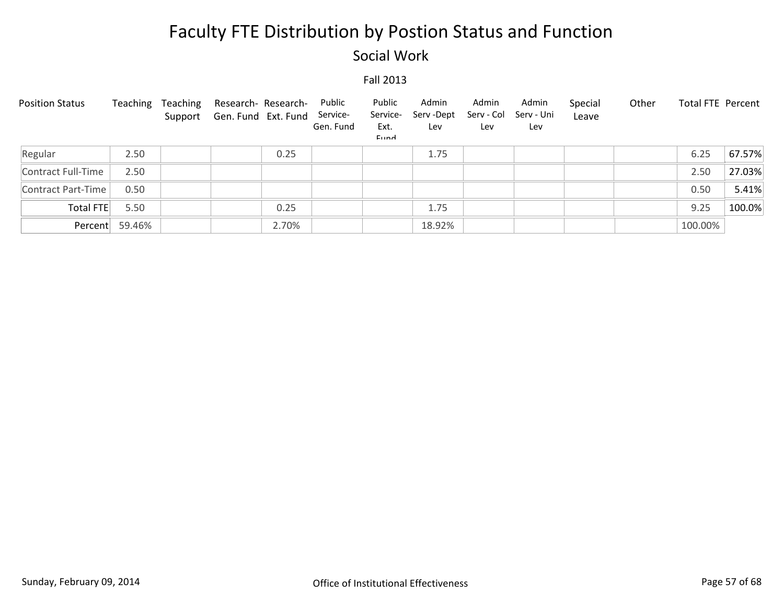### Social Work

| <b>Position Status</b> | Teaching       | Teaching | Research- Research-<br>Support Gen. Fund Ext. Fund Service- | Public<br>Gen. Fund | Public<br>Service-<br>Ext.<br>Eund | Admin<br>Serv -Dept<br>Lev | Admin<br>Serv - Col<br>Lev | Admin<br>Serv - Uni<br>Lev | Special<br>Leave | Other | Total FTE Percent |        |
|------------------------|----------------|----------|-------------------------------------------------------------|---------------------|------------------------------------|----------------------------|----------------------------|----------------------------|------------------|-------|-------------------|--------|
| Regular                | 2.50           |          | 0.25                                                        |                     |                                    | 1.75                       |                            |                            |                  |       | 6.25              | 67.57% |
| Contract Full-Time     | 2.50           |          |                                                             |                     |                                    |                            |                            |                            |                  |       | 2.50              | 27.03% |
| Contract Part-Time     | 0.50           |          |                                                             |                     |                                    |                            |                            |                            |                  |       | 0.50              | 5.41%  |
| Total FTE              | 5.50           |          | 0.25                                                        |                     |                                    | 1.75                       |                            |                            |                  |       | 9.25              | 100.0% |
|                        | Percent 59.46% |          | 2.70%                                                       |                     |                                    | 18.92%                     |                            |                            |                  |       | 100.00%           |        |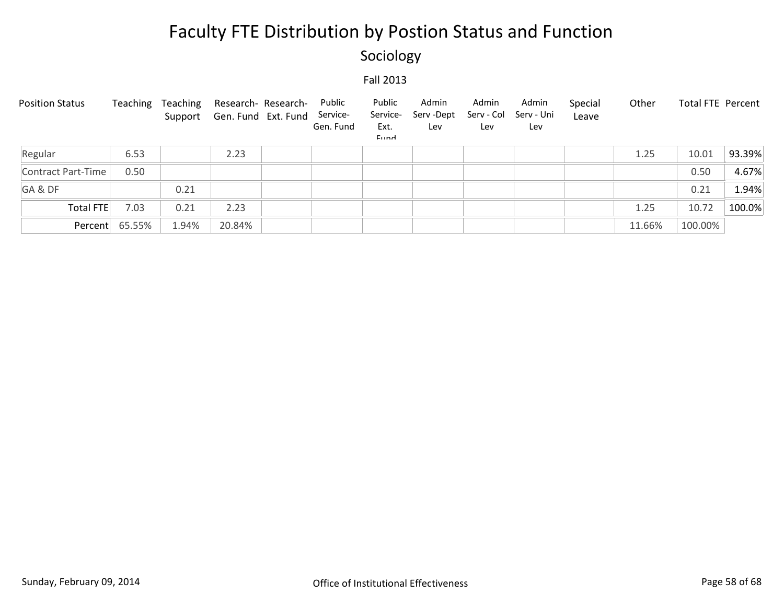## Sociology

| <b>Position Status</b> | Teaching       | Teaching | Research- Research-<br>Support Gen. Fund Ext. Fund | Public<br>Service-<br>Gen. Fund | Public<br>Service-<br>Ext.<br>Eund | Admin<br>Serv-Dept<br>Lev | Admin<br>Serv - Col<br>Lev | Admin<br>Serv - Uni<br>Lev | Special<br>Leave | Other  | Total FTE Percent |        |
|------------------------|----------------|----------|----------------------------------------------------|---------------------------------|------------------------------------|---------------------------|----------------------------|----------------------------|------------------|--------|-------------------|--------|
| Regular                | 6.53           |          | 2.23                                               |                                 |                                    |                           |                            |                            |                  | 1.25   | 10.01             | 93.39% |
| Contract Part-Time     | 0.50           |          |                                                    |                                 |                                    |                           |                            |                            |                  |        | 0.50              | 4.67%  |
| GA&DF                  |                | 0.21     |                                                    |                                 |                                    |                           |                            |                            |                  |        | 0.21              | 1.94%  |
| Total FTE              | 7.03           | 0.21     | 2.23                                               |                                 |                                    |                           |                            |                            |                  | 1.25   | 10.72             | 100.0% |
|                        | Percent 65.55% | 1.94%    | 20.84%                                             |                                 |                                    |                           |                            |                            |                  | 11.66% | 100.00%           |        |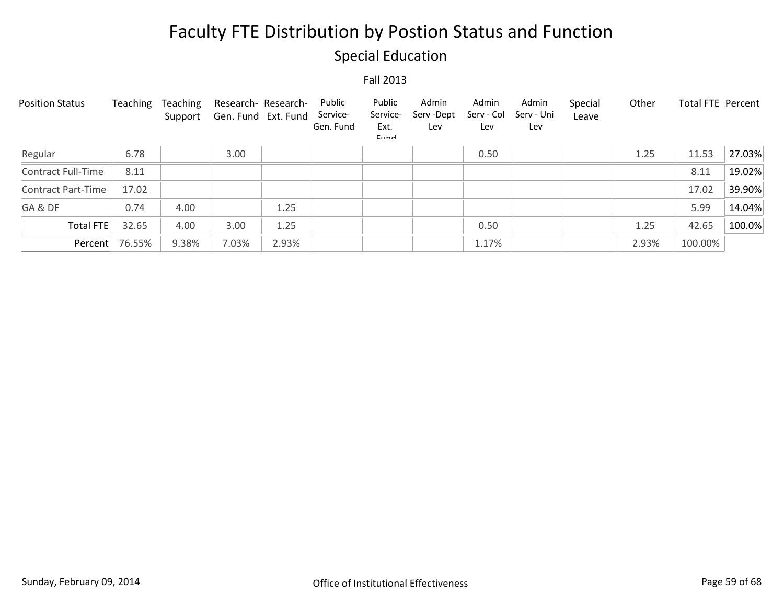## Special Education

| <b>Position Status</b> | Teaching | Teaching<br>Support | Research- Research-<br>Gen. Fund Ext. Fund |       | Public<br>Service-<br>Gen. Fund | Public<br>Service-<br>Ext.<br>Eund | Admin<br>Serv-Dept<br>Lev | Admin<br>Serv - Col<br>Lev | Admin<br>Serv - Uni<br>Lev | Special<br>Leave | Other | <b>Total FTE Percent</b> |        |
|------------------------|----------|---------------------|--------------------------------------------|-------|---------------------------------|------------------------------------|---------------------------|----------------------------|----------------------------|------------------|-------|--------------------------|--------|
| Regular                | 6.78     |                     | 3.00                                       |       |                                 |                                    |                           | 0.50                       |                            |                  | 1.25  | 11.53                    | 27.03% |
| Contract Full-Time     | 8.11     |                     |                                            |       |                                 |                                    |                           |                            |                            |                  |       | 8.11                     | 19.02% |
| Contract Part-Time     | 17.02    |                     |                                            |       |                                 |                                    |                           |                            |                            |                  |       | 17.02                    | 39.90% |
| GA&DF                  | 0.74     | 4.00                |                                            | 1.25  |                                 |                                    |                           |                            |                            |                  |       | 5.99                     | 14.04% |
| <b>Total FTE</b>       | 32.65    | 4.00                | 3.00                                       | 1.25  |                                 |                                    |                           | 0.50                       |                            |                  | 1.25  | 42.65                    | 100.0% |
| Percent                | 76.55%   | 9.38%               | 7.03%                                      | 2.93% |                                 |                                    |                           | 1.17%                      |                            |                  | 2.93% | 100.00%                  |        |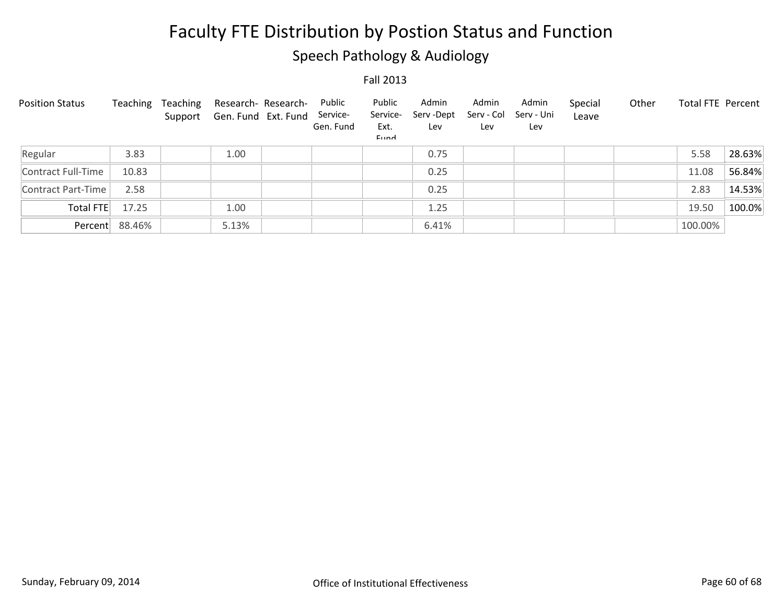## Speech Pathology & Audiology

| <b>Position Status</b> | Teaching       | Teaching | Research- Research-<br>Support Gen. Fund Ext. Fund | Public<br>Service-<br>Gen. Fund | Public<br>Service-<br>Ext.<br><b>Fund</b> | Admin<br>Serv-Dept<br>Lev | Admin<br>Serv - Col<br>Lev | Admin<br>Serv - Uni<br>Lev | Special<br>Leave | Other | <b>Total FTE Percent</b> |        |
|------------------------|----------------|----------|----------------------------------------------------|---------------------------------|-------------------------------------------|---------------------------|----------------------------|----------------------------|------------------|-------|--------------------------|--------|
| Regular                | 3.83           |          | 1.00                                               |                                 |                                           | 0.75                      |                            |                            |                  |       | 5.58                     | 28.63% |
| Contract Full-Time     | 10.83          |          |                                                    |                                 |                                           | 0.25                      |                            |                            |                  |       | 11.08                    | 56.84% |
| Contract Part-Time     | 2.58           |          |                                                    |                                 |                                           | 0.25                      |                            |                            |                  |       | 2.83                     | 14.53% |
| Total FTE              | 17.25          |          | 1.00                                               |                                 |                                           | 1.25                      |                            |                            |                  |       | 19.50                    | 100.0% |
|                        | Percent 88.46% |          | 5.13%                                              |                                 |                                           | 6.41%                     |                            |                            |                  |       | 100.00%                  |        |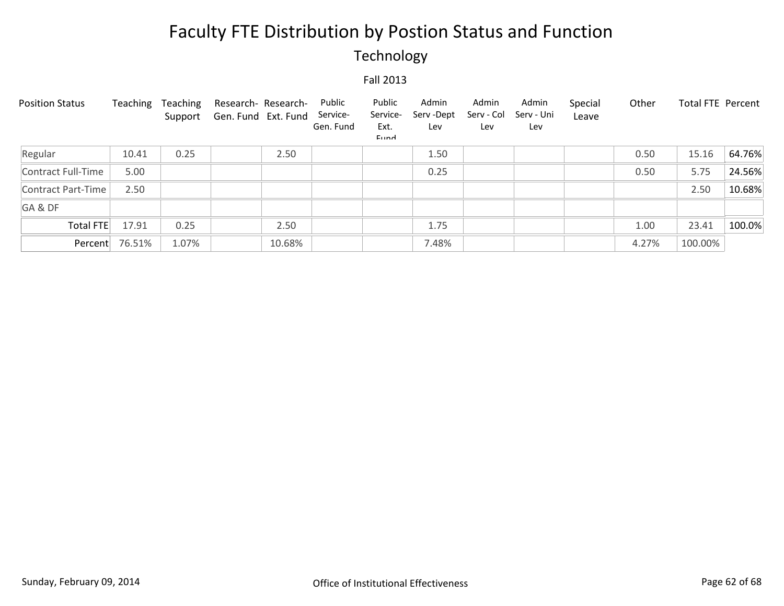## Technology

| <b>Position Status</b> | Teaching       | Teaching<br>Support | Research- Research-<br>Gen. Fund Ext. Fund |        | Public<br>Service-<br>Gen. Fund | Public<br>Service-<br>Ext.<br>Eund | Admin<br>Serv - Dept<br>Lev | Admin<br>Serv - Col<br>Lev | Admin<br>Serv - Uni<br>Lev | Special<br>Leave | Other | Total FTE Percent |        |
|------------------------|----------------|---------------------|--------------------------------------------|--------|---------------------------------|------------------------------------|-----------------------------|----------------------------|----------------------------|------------------|-------|-------------------|--------|
| Regular                | 10.41          | 0.25                |                                            | 2.50   |                                 |                                    | 1.50                        |                            |                            |                  | 0.50  | 15.16             | 64.76% |
| Contract Full-Time     | 5.00           |                     |                                            |        |                                 |                                    | 0.25                        |                            |                            |                  | 0.50  | 5.75              | 24.56% |
| Contract Part-Time     | 2.50           |                     |                                            |        |                                 |                                    |                             |                            |                            |                  |       | 2.50              | 10.68% |
| GA&DF                  |                |                     |                                            |        |                                 |                                    |                             |                            |                            |                  |       |                   |        |
| Total FTE              | 17.91          | 0.25                |                                            | 2.50   |                                 |                                    | 1.75                        |                            |                            |                  | 1.00  | 23.41             | 100.0% |
|                        | Percent 76.51% | 1.07%               |                                            | 10.68% |                                 |                                    | 7.48%                       |                            |                            |                  | 4.27% | 100.00%           |        |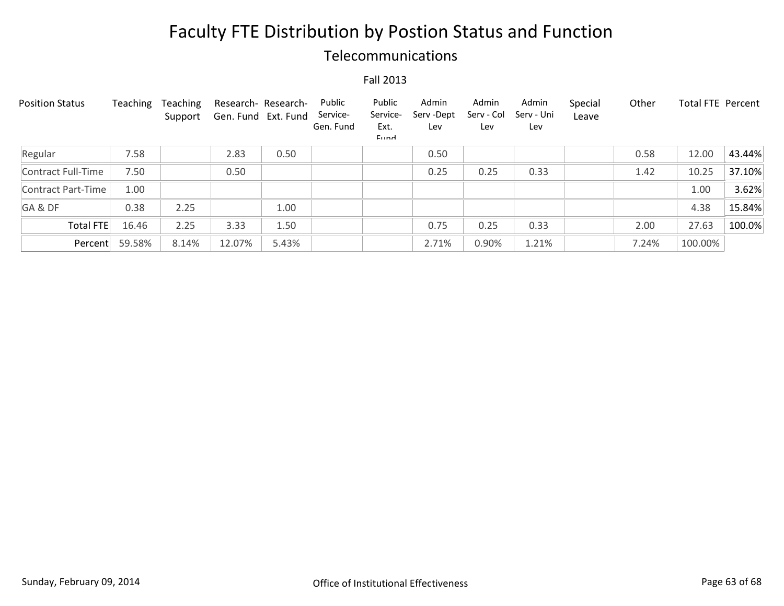### Telecommunications

| <b>Position Status</b> | Teaching | Teaching<br>Support | Research- Research-<br>Gen. Fund Ext. Fund |       | Public<br>Service-<br>Gen. Fund | Public<br>Service-<br>Ext.<br>Eund | Admin<br>Serv-Dept<br>Lev | Admin<br>Serv - Col<br>Lev | Admin<br>Serv - Uni<br>Lev | Special<br>Leave | Other | <b>Total FTE Percent</b> |        |
|------------------------|----------|---------------------|--------------------------------------------|-------|---------------------------------|------------------------------------|---------------------------|----------------------------|----------------------------|------------------|-------|--------------------------|--------|
| Regular                | 7.58     |                     | 2.83                                       | 0.50  |                                 |                                    | 0.50                      |                            |                            |                  | 0.58  | 12.00                    | 43.44% |
| Contract Full-Time     | 7.50     |                     | 0.50                                       |       |                                 |                                    | 0.25                      | 0.25                       | 0.33                       |                  | 1.42  | 10.25                    | 37.10% |
| Contract Part-Time     | 1.00     |                     |                                            |       |                                 |                                    |                           |                            |                            |                  |       | 1.00                     | 3.62%  |
| GA&DF                  | 0.38     | 2.25                |                                            | 1.00  |                                 |                                    |                           |                            |                            |                  |       | 4.38                     | 15.84% |
| <b>Total FTE</b>       | 16.46    | 2.25                | 3.33                                       | 1.50  |                                 |                                    | 0.75                      | 0.25                       | 0.33                       |                  | 2.00  | 27.63                    | 100.0% |
| Percent                | 59.58%   | 8.14%               | 12.07%                                     | 5.43% |                                 |                                    | 2.71%                     | 0.90%                      | 1.21%                      |                  | 7.24% | 100.00%                  |        |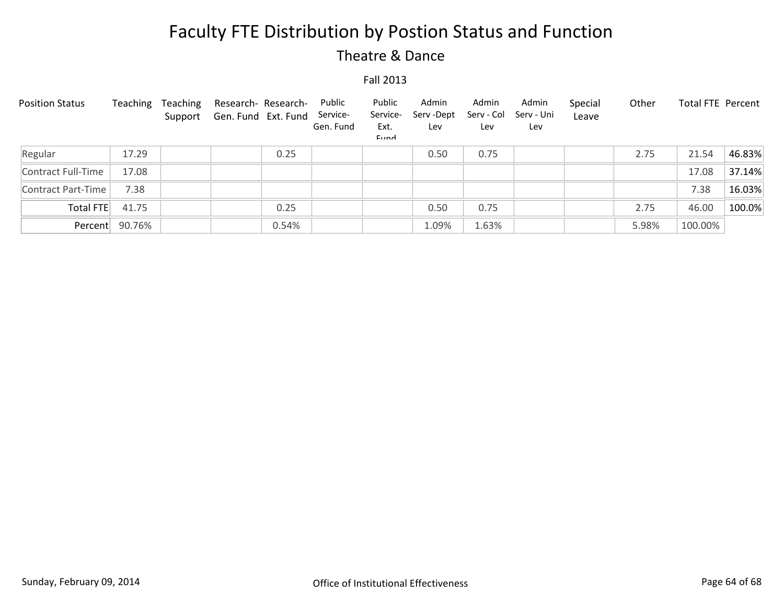### Theatre & Dance

| <b>Position Status</b> | Teaching       | Teaching | Research- Research-<br>Support Gen. Fund Ext. Fund | Public<br>Service-<br>Gen. Fund | Public<br>Service-<br>Ext.<br>Eund | Admin<br>Serv -Dept<br>Lev | Admin<br>Serv - Col<br>Lev | Admin<br>Serv - Uni<br>Lev | Special<br>Leave | Other | Total FTE Percent |        |
|------------------------|----------------|----------|----------------------------------------------------|---------------------------------|------------------------------------|----------------------------|----------------------------|----------------------------|------------------|-------|-------------------|--------|
| Regular                | 17.29          |          | 0.25                                               |                                 |                                    | 0.50                       | 0.75                       |                            |                  | 2.75  | 21.54             | 46.83% |
| Contract Full-Time     | 17.08          |          |                                                    |                                 |                                    |                            |                            |                            |                  |       | 17.08             | 37.14% |
| Contract Part-Time     | 7.38           |          |                                                    |                                 |                                    |                            |                            |                            |                  |       | 7.38              | 16.03% |
| Total FTE              | 41.75          |          | 0.25                                               |                                 |                                    | 0.50                       | 0.75                       |                            |                  | 2.75  | 46.00             | 100.0% |
|                        | Percent 90.76% |          | 0.54%                                              |                                 |                                    | 1.09%                      | 1.63%                      |                            |                  | 5.98% | 100.00%           |        |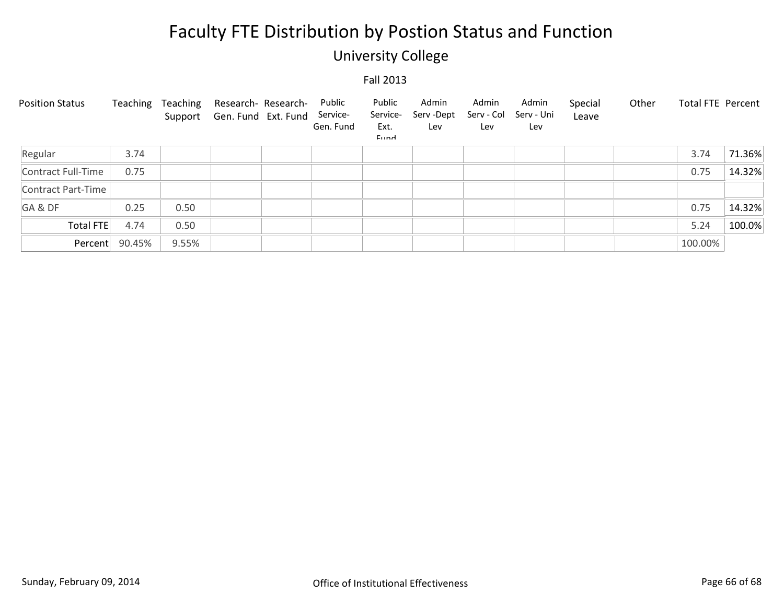## University College

| <b>Position Status</b> | Teaching | Teaching | Research- Research-<br>Support Gen. Fund Ext. Fund | Public<br>Service-<br>Gen. Fund | Public<br>Service-<br>Ext.<br>Eund | Admin<br>Serv -Dept<br>Lev | Admin<br>Serv - Col<br>Lev | Admin<br>Serv - Uni<br>Lev | Special<br>Leave | Other | Total FTE Percent |        |
|------------------------|----------|----------|----------------------------------------------------|---------------------------------|------------------------------------|----------------------------|----------------------------|----------------------------|------------------|-------|-------------------|--------|
| Regular                | 3.74     |          |                                                    |                                 |                                    |                            |                            |                            |                  |       | 3.74              | 71.36% |
| Contract Full-Time     | 0.75     |          |                                                    |                                 |                                    |                            |                            |                            |                  |       | 0.75              | 14.32% |
| Contract Part-Time     |          |          |                                                    |                                 |                                    |                            |                            |                            |                  |       |                   |        |
| GA&DF                  | 0.25     | 0.50     |                                                    |                                 |                                    |                            |                            |                            |                  |       | 0.75              | 14.32% |
| Total FTE              | 4.74     | 0.50     |                                                    |                                 |                                    |                            |                            |                            |                  |       | 5.24              | 100.0% |
| Percent                | 90.45%   | 9.55%    |                                                    |                                 |                                    |                            |                            |                            |                  |       | 100.00%           |        |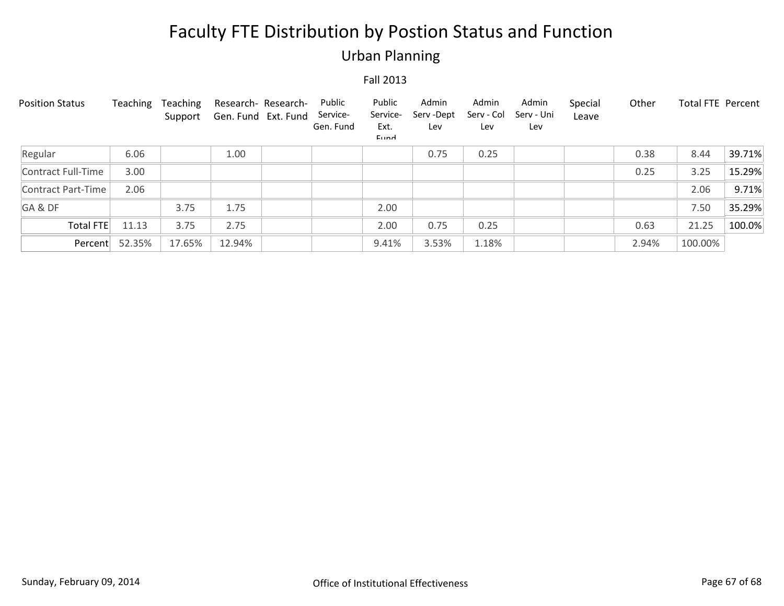## Urban Planning

| <b>Position Status</b>    | Teaching | Teaching<br>Support | Gen. Fund Ext. Fund | Research- Research- | Public<br>Service-<br>Gen. Fund | Public<br>Service-<br>Ext.<br>Eund | Admin<br>Serv-Dept<br>Lev | Admin<br>Serv - Col<br>Lev | Admin<br>Serv - Uni<br>Lev | Special<br>Leave | Other | <b>Total FTE Percent</b> |        |
|---------------------------|----------|---------------------|---------------------|---------------------|---------------------------------|------------------------------------|---------------------------|----------------------------|----------------------------|------------------|-------|--------------------------|--------|
| Regular                   | 6.06     |                     | 1.00                |                     |                                 |                                    | 0.75                      | 0.25                       |                            |                  | 0.38  | 8.44                     | 39.71% |
| Contract Full-Time        | 3.00     |                     |                     |                     |                                 |                                    |                           |                            |                            |                  | 0.25  | 3.25                     | 15.29% |
| <b>Contract Part-Time</b> | 2.06     |                     |                     |                     |                                 |                                    |                           |                            |                            |                  |       | 2.06                     | 9.71%  |
| GA&DF                     |          | 3.75                | 1.75                |                     |                                 | 2.00                               |                           |                            |                            |                  |       | 7.50                     | 35.29% |
| Total FTE                 | 11.13    | 3.75                | 2.75                |                     |                                 | 2.00                               | 0.75                      | 0.25                       |                            |                  | 0.63  | 21.25                    | 100.0% |
| Percent                   | 52.35%   | 17.65%              | 12.94%              |                     |                                 | 9.41%                              | 3.53%                     | 1.18%                      |                            |                  | 2.94% | 100.00%                  |        |